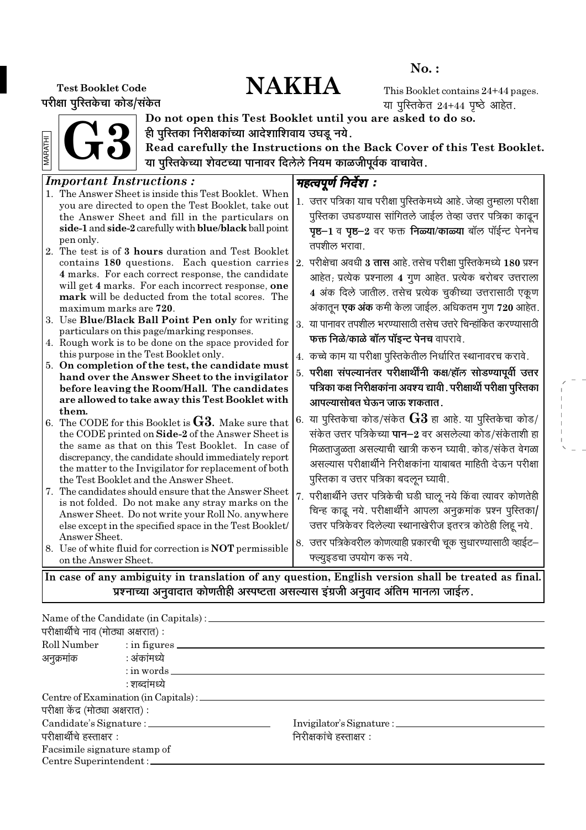# No. :

# Test Booklet Code NAKHA

परीक्षा पुरितकेचा कोड/संकेत

This Booklet contains 24+44 pages. या पुस्तिकेत  $24+44$  पृष्ठे आहेत.

G3 **ARATHI** MARATHI



Do not open this Test Booklet until you are asked to do so. ही पुरितका निरीक्षकांच्या आदेशाशिवाय उघडू नये.

Read carefully the Instructions on the Back Cover of this Test Booklet. या पुरितकेच्या शेवटच्या पानावर दिलेले नियम काळजीपूर्वक वाचावेत.

| <b>Important Instructions:</b>                                                                                                                                                                                                                                                                                                                                                                                                                                                                                                                                                                                                                                                                          |                                                                                                                                                                                                                                                                                                                                                                                                                                                                                                                                                                                                                |
|---------------------------------------------------------------------------------------------------------------------------------------------------------------------------------------------------------------------------------------------------------------------------------------------------------------------------------------------------------------------------------------------------------------------------------------------------------------------------------------------------------------------------------------------------------------------------------------------------------------------------------------------------------------------------------------------------------|----------------------------------------------------------------------------------------------------------------------------------------------------------------------------------------------------------------------------------------------------------------------------------------------------------------------------------------------------------------------------------------------------------------------------------------------------------------------------------------------------------------------------------------------------------------------------------------------------------------|
| 1. The Answer Sheet is inside this Test Booklet. When<br>you are directed to open the Test Booklet, take out<br>the Answer Sheet and fill in the particulars on<br>side-1 and side-2 carefully with blue/black ball point<br>pen only.<br>2. The test is of 3 hours duration and Test Booklet<br>contains 180 questions. Each question carries<br>4 marks. For each correct response, the candidate<br>will get 4 marks. For each incorrect response, one<br>mark will be deducted from the total scores. The                                                                                                                                                                                           | महत्वपूर्ण निर्देश :<br>1. उत्तर पत्रिका याच परीक्षा पुरितकेमध्ये आहे. जेव्हा तुम्हाला परीक्षा<br>पुस्तिका उघडण्यास सांगितले जाईल तेव्हा उत्तर पत्रिका काढून<br>पृष्ठ-1 व पृष्ठ-2 वर फक्त निळ्या/काळ्या बॉल पॉईन्ट पेननेच<br>तपशील भरावा.<br>2. परीक्षेचा अवधी 3 <b>तास</b> आहे. तसेच परीक्षा पुस्तिकेमध्ये 180 प्रश्न<br>आहेत; प्रत्येक प्रश्नाला 4 गुण आहेत. प्रत्येक बरोबर उत्तराला<br>4 अंक दिले जातील. तसेच प्रत्येक चुकीच्या उत्तरासाठी एकूण                                                                                                                                                             |
| maximum marks are 720.<br>3. Use Blue/Black Ball Point Pen only for writing<br>particulars on this page/marking responses.<br>4. Rough work is to be done on the space provided for<br>this purpose in the Test Booklet only.<br>5. On completion of the test, the candidate must<br>hand over the Answer Sheet to the invigilator<br>before leaving the Room/Hall. The candidates                                                                                                                                                                                                                                                                                                                      | अंकातून एक अंक कमी केला जाईल. अधिकतम गुण 720 आहेत.<br>3. या पानावर तपशील भरण्यासाठी तसेच उत्तरे चिन्हांकित करण्यासाठी<br>फक्त निळे/काळे बॉल पॉइन्ट पेनच वापरावे.<br>4. कच्चे काम या परीक्षा पुस्तिकेतील निर्धारित स्थानावरच करावे.<br>5. परीक्षा संपल्यानंतर परीक्षार्थींनी कक्ष/हॉल सोडण्यापूर्वी उत्तर<br>पत्रिका कक्ष निरीक्षकांना अवश्य द्यावी . परीक्षार्थी परीक्षा पुरितका                                                                                                                                                                                                                               |
| are allowed to take away this Test Booklet with<br>them.<br>6. The CODE for this Booklet is $G3$ . Make sure that<br>the CODE printed on Side-2 of the Answer Sheet is<br>the same as that on this Test Booklet. In case of<br>discrepancy, the candidate should immediately report<br>the matter to the Invigilator for replacement of both<br>the Test Booklet and the Answer Sheet.<br>7. The candidates should ensure that the Answer Sheet<br>is not folded. Do not make any stray marks on the<br>Answer Sheet. Do not write your Roll No. anywhere<br>else except in the specified space in the Test Booklet/<br>Answer Sheet.<br>8. Use of white fluid for correction is <b>NOT</b> permissible | आपल्यासोबत घेऊन जाऊ शकतात.<br>6. या पुस्तिकेचा कोड/संकेत ${\bf G3}$ हा आहे. या पुस्तिकेचा कोड/<br>संकेत उत्तर पत्रिकेच्या पान–2 वर असलेल्या कोड/संकेताशी हा<br>मिळताजुळता असल्याची खात्री करुन घ्यावी. कोड/संकेत वेगळा<br>असल्यास परीक्षार्थीने निरीक्षकांना याबाबत माहिती देऊन परीक्षा<br>पुस्तिका व उत्तर पत्रिका बदलून घ्यावी.<br>7. परीक्षार्थीने उत्तर पत्रिकेची घडी घालू नये किंवा त्यावर कोणतेही<br>चिन्ह काढू नये. परीक्षार्थीने आपला अनुक्रमांक प्रश्न पुस्तिका/<br>उत्तर पत्रिकेवर दिलेल्या स्थानाखेरीज इतरत्र कोठेही लिहू नये.<br>8. उत्तर पत्रिकेवरील कोणत्याही प्रकारची चूक सुधारण्यासाठी व्हाईट- |
| on the Answer Sheet.                                                                                                                                                                                                                                                                                                                                                                                                                                                                                                                                                                                                                                                                                    | फ्ल्युइडचा उपयोग करू नये.                                                                                                                                                                                                                                                                                                                                                                                                                                                                                                                                                                                      |
|                                                                                                                                                                                                                                                                                                                                                                                                                                                                                                                                                                                                                                                                                                         | In case of any ambiguity in translation of any question, English version shall be treated as final.                                                                                                                                                                                                                                                                                                                                                                                                                                                                                                            |

प्रश्नाच्या अनुवादात कोणतीही अस्पष्टता असल्यास इंग्रजी अनुवाद अंतिम मानला जाईल.

| परीक्षार्थीचे नाव (मोठ्या अक्षरात) : |                          |                          |  |
|--------------------------------------|--------------------------|--------------------------|--|
|                                      | Roll Number : in figures |                          |  |
| अनुक्रमांक : अंकांमध्ये              |                          |                          |  |
|                                      | $:$ in words $\_\_$      |                          |  |
|                                      | : शब्दांमध्ये            |                          |  |
|                                      |                          |                          |  |
| परीक्षा केंद्र (मोठ्या अक्षरात) :    |                          |                          |  |
|                                      |                          |                          |  |
| परीक्षार्थीचे हस्ताक्षर :            |                          | निरीक्षकांचे हस्ताक्षर : |  |
| Facsimile signature stamp of         |                          |                          |  |
| Centre Superintendent :              |                          |                          |  |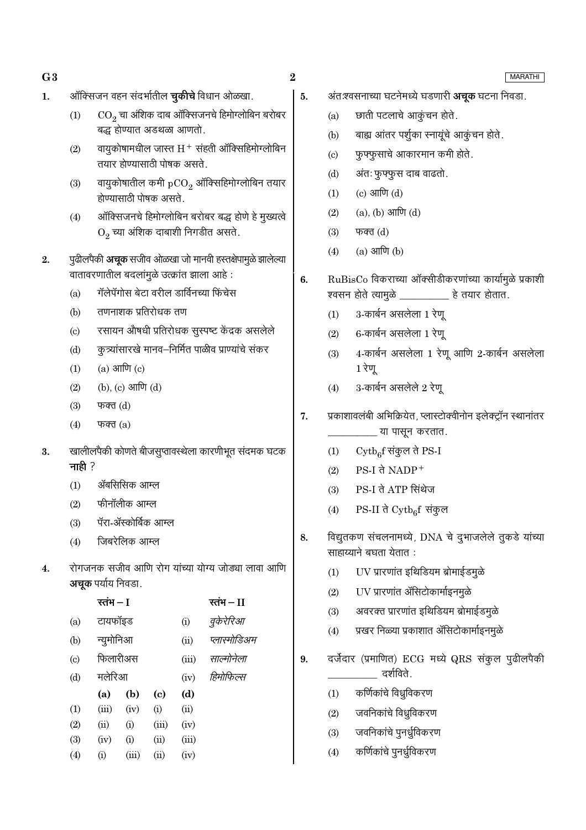- $G3$
- ऑक्सिजन वहन संदर्भातील **चुकीचे** विधान ओळखा.  $\mathbf{1}$ .

- वायुकोषामधील जास्त  $H^+$  संहती ऑक्सिहिमोग्लोबिन  $(2)$ तयार होण्यासाठी पोषक असते.
- वायुकोषातील कमी  $pCO<sub>2</sub>$  ऑक्सिहिमोग्लोबिन तयार  $(3)$ होण्यासाठी पोषक असते.
- ऑक्सिजनचे हिमोग्लोबिन बरोबर बद्ध होणे हे मुख्यत्वे  $(4)$  $O_2$  च्या अंशिक दाबाशी निगडीत असते.
- पुढीलपैकी अचूक सजीव ओळखा जो मानवी हस्तक्षेपामुळे झालेल्या  $2.$ वातावरणातील बदलांमुळे उत्क्रांत झाला आहे:
	- गॅलेपॅगोस बेटा वरील डार्विनच्या फिंचेस  $(a)$
	- तणनाशक प्रतिरोधक तण  $(b)$
	- रसायन औषधी प्रतिरोधक सुस्पष्ट केंद्रक असलेले  $\left( \mathrm{c}\right)$
	- कूत्र्यांसारखे मानव–निर्मित पाळीव प्राण्यांचे संकर  $(d)$
	- $(a)$  आणि  $(c)$  $(1)$
	- (b), (c) आणि (d)  $(2)$
	- $(3)$ फक्त $(d)$
	- $(4)$ फक्त $(a)$
- खालीलपैकी कोणते बीजसुप्तावस्थेला कारणीभूत संदमक घटक 3. नाही $?$ 
	- ॲबसिसिक आम्ल  $(1)$
	- फीनॉलीक आम्ल  $(2)$
	- पॅरा-ॲस्कोर्बिक आम्ल  $(3)$
	- जिबरेलिक आम्ल  $(4)$
- रोगजनक सजीव आणि रोग यांच्या योग्य जोड्या लावा आणि  $\overline{4}$ . अचूक पर्याय निवडा.

|                           | रतंभ – I  |       |       |       | रतंभ $-I$    |
|---------------------------|-----------|-------|-------|-------|--------------|
| (a)                       | टायफॉइड   |       |       | (i)   | वुकेरेरिआ    |
| (b)                       | न्युमोनिआ |       |       | (ii)  | प्लास्मोडिअम |
| $\left( \text{c} \right)$ | फिलारीअस  |       |       | (iii) | साल्मोनेला   |
| (d)                       | मलेरिआ    |       |       | (iv)  | हिमोफिल्स    |
|                           | (a)       | (b)   | (c)   | (d)   |              |
| (1)                       | (iii)     | (iv)  | (i)   | (ii)  |              |
| (2)                       | (ii)      | (i)   | (iii) | (iv)  |              |
| (3)                       | (iv)      | (i)   | (ii)  | (iii) |              |
| (4)                       | (i)       | (iii) | (ii)  | (iv)  |              |
|                           |           |       |       |       |              |

 $\bf{2}$ 

5.

- अंतःश्वसनाच्या घटनेमध्ये घडणारी **अचूक** घटना निवडा.
- छाती पटलाचे आकूंचन होते.  $(a)$
- बाह्य आंतर पर्शूका स्नायुंचे आकूंचन होते.  $(b)$
- फुफ्फुसाचे आकारमान कमी होते.  $(c)$
- अंतः फुफ्फुस दाब वाढतो.  $(d)$
- $(c)$  आणि  $(d)$  $(1)$
- $(a), (b)$  आणि  $(d)$  $(2)$
- $(3)$ फक्त $(d)$
- $(a)$  आणि  $(b)$  $(4)$
- RuBisCo विकराच्या ऑक्सीडीकरणांच्या कार्यामुळे प्रकाशी 6. श्वसन होते त्यामुळे \_\_\_\_\_\_\_\_\_\_\_ हे तयार होतात.
	- 3-कार्बन असलेला 1 रेण  $(1)$
	- 6-कार्बन असलेला 1 रेणू  $(2)$
	- 4-कार्बन असलेला 1 रेणू आणि 2-कार्बन असलेला  $(3)$ 1 रेणू
	- $(4)$ 3-कार्बन असलेले 2 रेणू
- प्रकाशावलंबी अभिक्रियेत, प्लास्टोक्वीनोन इलेक्ट्रॉन स्थानांतर 7. \_ या पासून करतात.
	- $\mathrm{Cytb}_{6}$ f संकुल ते PS-I  $(1)$
	- $PS-I$  ते NADP<sup>+</sup>  $(2)$
	- PS-I ते ATP सिंथेज  $(3)$
	- $PS-II$  ते  $\mathrm{Cytb}_6f$  संकुल  $(4)$
- विद्युतकण संचलनामध्ये, DNA चे दुभाजलेले तुकडे यांच्या 8. साहाय्याने बघता येतात:
	- UV प्रारणांत इथिडियम ब्रोमाईडमुळे  $(1)$
	- UV प्रारणांत ॲसिटोकार्माइनमुळे  $(2)$
	- अवरक्त प्रारणांत इथिडियम ब्रोमाईडमुळे  $(3)$
	- प्रखर निळ्या प्रकाशात ॲसिटोकार्माइनमुळे  $(4)$
- दर्जेदार (प्रमाणित) ECG मध्ये QRS संकुल पुढीलपैकी 9. दर्शविते.
	- कर्णिकांचे विध्रुविकरण  $(1)$
	- जवनिकांचे विध्रुविकरण  $(2)$
	- जवनिकांचे पुनर्ध्रुविकरण  $(3)$
	- कर्णिकांचे पुनर्ध्रुविकरण  $(4)$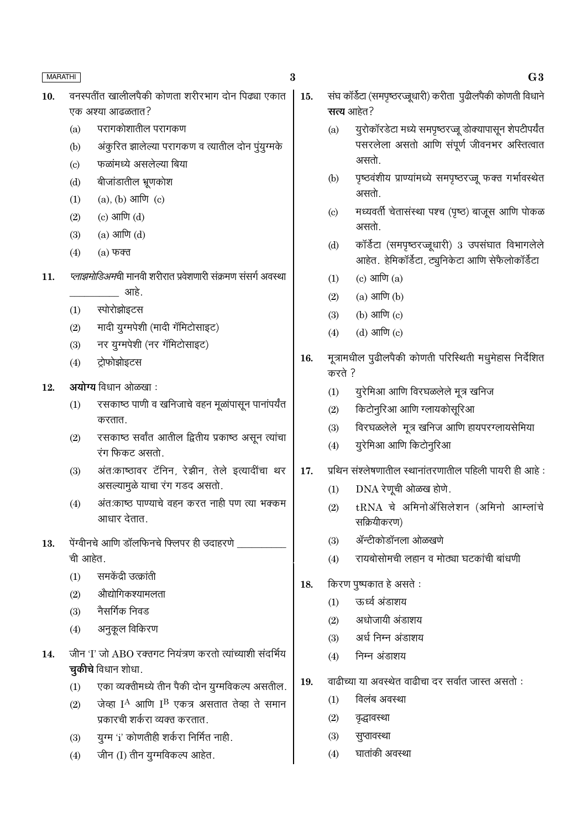- $\bf{3}$
- वनस्पतींत खालीलपैकी कोणता शरीरभाग दोन पिढ्या एकात 10. एक अश्या आढळतात?
	- परागकोशातील परागकण  $(a)$
	- अंकूरित झालेल्या परागकण व त्यातील दोन पुंयुग्मके  $(b)$
	- फळांमध्ये असलेल्या बिया  $(c)$
	- बीजांडातील भ्रूणकोश  $(d)$
	- $(1)$  $(a)$ ,  $(b)$  आणि  $(c)$
	- (c) आणि  $(d)$  $(2)$
	- $(a)$  आणि  $(d)$  $(3)$
	- $(4)$  $(a)$  फक्त
- प्लाझमोडिअमची मानवी शरीरात प्रवेशणारी संक्रमण संसर्ग अवस्था  $11.$ आहे.
	- स्पोरोझोइटस  $(1)$
	- मादी युग्मपेशी (मादी गॅमिटोसाइट)  $(2)$
	- नर युग्मपेशी (नर गॅमिटोसाइट)  $(3)$
	- टोफोझोइटस  $(4)$
- अयोग्य विधान ओळखा: 12.
	- रसकाष्ठ पाणी व खनिजाचे वहन मूळांपासून पानांपर्यंत  $(1)$ करतात.
	- रसकाष्ठ सर्वांत आतील द्वितीय प्रकाष्ठ असून त्यांचा  $(2)$ रंग फिकट असतो.
	- अंतःकाष्ठावर टॅनिन, रेझीन, तेले इत्यादींचा थर  $(3)$ असल्यामुळे याचा रंग गडद असतो.
	- अंत:काष्ठ पाण्याचे वहन करत नाही पण त्या भक्कम  $(4)$ आधार देतात
- 13. पेंग्वीनचे आणि डॉलफिनचे फ्लिपर ही उदाहरणे ची आहेत.
	- समकेंद्री उत्क्रांती  $(1)$
	- औद्योगिकश्यामलता  $(2)$
	- नैसर्गिक निवड  $(3)$
	- अनुकूल विकिरण  $(4)$
- जीन 'I' जो ABO रक्तगट नियंत्रण करतो त्यांच्याशी संदर्भिय 14. **चुकीचे** विधान शोधा.
	- एका व्यक्तीमध्ये तीन पैकी दोन युग्मविकल्प असतील.  $(1)$
	- जेव्हा I<sup>A</sup> आणि I<sup>B</sup> एकत्र असतात तेव्हा ते समान  $(2)$ प्रकारची शर्करा व्यक्त करतात.
	- युग्म 'i' कोणतीही शर्करा निर्मित नाही.  $(3)$
	- जीन (I) तीन यूग्मविकल्प आहेत.  $(4)$
- संघ कॉर्डेटा (समपृष्ठरज्जूधारी) करीता पुढीलपैकी कोणती विधाने 15. सत्य आहेत?
	- युरोकॉरडेटा मध्ये समपृष्ठरज्जू डोक्यापासून शेपटीपर्यंत  $(a)$ पसरलेला असतो आणि संपूर्ण जीवनभर अस्तित्वात असतो.
	- पृष्ठवंशीय प्राण्यांमध्ये समपृष्ठरज्जू फक्त गर्भावस्थेत  $(b)$ असतो.
	- मध्यवर्ती चेतासंस्था पश्च (पृष्ठ) बाजूस आणि पोकळ  $(c)$ असतो.
	- कॉर्डेटा (समपृष्ठरज्जूधारी) 3 उपसंघात विभागलेले  $(d)$ आहेत. हेमिकॉर्डेटा, ट्यूनिकेटा आणि सेफैलोकॉर्डेटा
	- $(c)$  आणि  $(a)$  $(1)$
	- $(a)$  आणि  $(b)$  $(2)$
	- (b) आणि  $(c)$  $(3)$
	- $(4)$  $(d)$  आणि  $(c)$
- मूत्रामधील पुढीलपैकी कोणती परिस्थिती मधुमेहास निर्देशित 16. करते ?
	- युरेमिआ आणि विरघळलेले मूत्र खनिज  $(1)$
	- किटोनुरिआ आणि ग्लायकोसूरिआ  $(2)$
	- विरघळलेले मुत्र खनिज आणि हायपरग्लायसेमिया  $(3)$
	- युरेमिआ आणि किटोनुरिआ  $(4)$
- प्रथिन संश्लेषणातील स्थानांतरणातील पहिली पायरी ही आहे:  $17.$ 
	- DNA रेणूची ओळख होणे.  $(1)$
	- tRNA चे अमिनोॲसिलेशन (अमिनो आम्लांचे  $(2)$ सक्रियीकरण)
	- ॲन्टीकोडॉनला ओळखणे  $(3)$
	- रायबोसोमची लहान व मोठ्या घटकांची बांधणी  $(4)$
- किरण पुष्पकात हे असते : 18.
	- ऊर्ध्व अंडाशय  $(1)$
	- अधोजायी अंडाशय  $(2)$
	- अर्ध निम्न अंडाशय  $(3)$
	- निम्न अंडाशय  $(4)$
- वाढीच्या या अवस्थेत वाढीचा दर सर्वात जास्त असतो : 19.
	- विलंब अवस्था  $(1)$
	- $(2)$ वृद्धावस्था
	- $(3)$ सुप्तावस्था
	- घातांकी अवस्था  $(4)$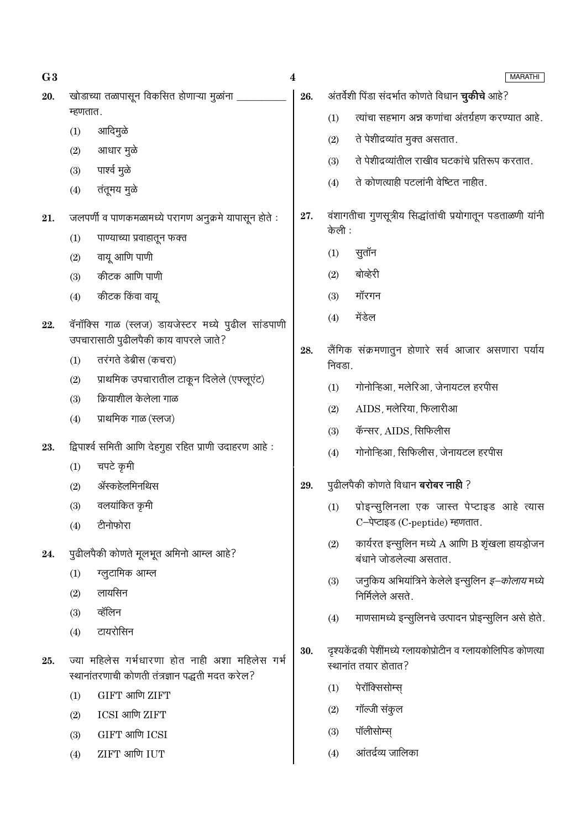| खोडाच्या तळापासून विकसित होणाऱ्या मुळांना<br>अंतर्वेशी पिंडा संदर्भात कोणते विधान <b>चुकीचे</b> आहे?<br>26.<br>20.<br>म्हणतात.<br>(1)<br>आदिमुळे                                                          | त्यांचा सहभाग अन्न कणांचा अंतर्ग्रहण करण्यात आहे.        |
|-----------------------------------------------------------------------------------------------------------------------------------------------------------------------------------------------------------|----------------------------------------------------------|
|                                                                                                                                                                                                           |                                                          |
|                                                                                                                                                                                                           |                                                          |
| (1)<br>ते पेशीद्रव्यांत मुक्त असतात.<br>(2)                                                                                                                                                               |                                                          |
| आधार मुळे<br>(2)<br>ते पेशीद्रव्यांतील राखीव घटकांचे प्रतिरूप करतात.<br>(3)                                                                                                                               |                                                          |
| पार्श्व मुळे<br>(3)<br>ते कोणत्याही पटलांनी वेष्टित नाहीत.<br>(4)                                                                                                                                         |                                                          |
| तंतूमय मुळे<br>(4)                                                                                                                                                                                        |                                                          |
| वंशागतीचा गुणसूत्रीय सिद्धांतांची प्रयोगातून पडताळणी यांनी<br>27.<br>जलपर्णी व पाणकमळामध्ये परागण अनुक्रमे यापासून होते :<br>21.                                                                          |                                                          |
| केली :<br>पाण्याच्या प्रवाहातून फक्त<br>(1)                                                                                                                                                               |                                                          |
| सुतॉन<br>(1)<br>वायू आणि पाणी<br>(2)                                                                                                                                                                      |                                                          |
| बोव्हेरी<br>(2)<br>कीटक आणि पाणी<br>(3)                                                                                                                                                                   |                                                          |
| कीटक किंवा वायू<br>मॉरगन<br>(3)<br>(4)                                                                                                                                                                    |                                                          |
| मेंडेल<br>(4)<br>वॅनॉक्सि गाळ (स्लज) डायजेस्टर मध्ये पुढील सांडपाणी<br>22.                                                                                                                                |                                                          |
| उपचारासाठी पुढीलपैकी काय वापरले जाते?<br>लैंगिक संक्रमणातुन होणारे सर्व आजार असणारा पर्याय<br>28.                                                                                                         |                                                          |
| तरंगते डेब्रीस (कचरा)<br>(1)<br>निवडा.                                                                                                                                                                    |                                                          |
| प्राथमिक उपचारातील टाकून दिलेले (एफ्लूएंट)<br>(2)<br>गोनोन्हिआ, मलेरिआ, जेनायटल हरपीस<br>(1)                                                                                                              |                                                          |
| क्रियाशील केलेला गाळ<br>(3)<br>AIDS, मलेरिया, फिलारीआ<br>(2)                                                                                                                                              |                                                          |
| प्राथमिक गाळ (स्लज)<br>(4)<br>कॅन्सर, AIDS, सिफिलीस<br>(3)                                                                                                                                                |                                                          |
| द्विपार्श्व समिती आणि देहगुहा रहित प्राणी उदाहरण आहे:<br>23.<br>गोनोन्हिआ, सिफिलीस, जेनायटल हरपीस<br>(4)                                                                                                  |                                                          |
| चपटे कृमी<br>(1)                                                                                                                                                                                          |                                                          |
| पुढीलपैकी कोणते विधान <b>बरोबर नाही</b> ?<br>ॲस्कहेलमिनथिस<br>29.<br>(2)                                                                                                                                  |                                                          |
| वलयांकित कृमी<br>(3)<br>(1) प्रोइन्सुलिनला एक जास्त पेप्टाइड आहे त्यास                                                                                                                                    |                                                          |
| C-पेप्टाइड (C-peptide) म्हणतात.<br>टीनोफोरा<br>(4)                                                                                                                                                        |                                                          |
| (2)<br>पुढीलपैकी कोणते मूलभूत अमिनो आम्ल आहे?<br>24.<br>बंधाने जोडलेल्या असतात.                                                                                                                           | कार्यरत इन्सुलिन मध्ये A आणि B शृंखला हायड्रोजन          |
| ग्लूटामिक आम्ल<br>(1)<br>(3)                                                                                                                                                                              | जनुकिय अभियांत्रिने केलेले इन्सुलिन <i>इ–कोलाय</i> मध्ये |
| लायसिन<br>(2)<br>निर्मिलेले असते.                                                                                                                                                                         |                                                          |
| व्हॅलिन<br>(3)<br>(4)                                                                                                                                                                                     | माणसामध्ये इन्सुलिनचे उत्पादन प्रोइन्सुलिन असे होते.     |
| टायरोसिन<br>(4)                                                                                                                                                                                           |                                                          |
| दृश्यकेंद्रकी पेशींमध्ये ग्लायकोप्रोटीन व ग्लायकोलिपिड कोणत्या<br>30.<br>ज्या महिलेस गर्भधारणा होत नाही अशा महिलेस गर्भ<br>25.<br>स्थानांत तयार होतात?<br>स्थानांतरणाची कोणती तंत्रज्ञान पद्धती मदत करेल? |                                                          |
| पेरॉक्सिसोम्स्<br>(1)<br>GIFT आणि ZIFT<br>(1)                                                                                                                                                             |                                                          |
| गॉल्जी संकुल<br>(2)<br>ICSI आणि ZIFT<br>(2)                                                                                                                                                               |                                                          |
| पॉलीसोम्स्<br>(3)<br>GIFT आणि ICSI<br>(3)                                                                                                                                                                 |                                                          |
| आंतर्द्रव्य जालिका<br>ZIFT आणि IUT<br>(4)<br>(4)                                                                                                                                                          |                                                          |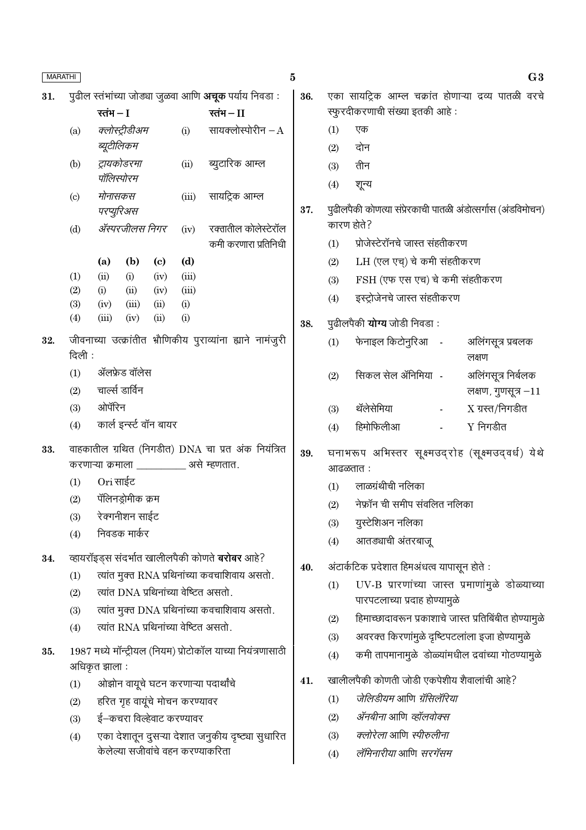| MARATHI |                            |                              |       |                            |                                |                                                                                                 | $\bf{5}$ |     |                                                                                  | G <sub>3</sub>             |
|---------|----------------------------|------------------------------|-------|----------------------------|--------------------------------|-------------------------------------------------------------------------------------------------|----------|-----|----------------------------------------------------------------------------------|----------------------------|
| 31.     |                            |                              |       |                            |                                | पुढील स्तंभांच्या जोड्या जुळवा आणि अचूक पर्याय निवडा :                                          | 36.      |     | एका सायट्रिक आम्ल चक्रांत होणाऱ्या द्रव्य पातळी वरचे                             |                            |
|         |                            | रतंभ $-I$                    |       |                            |                                | रतंभ $-II$                                                                                      |          |     | स्फुरदीकरणाची संख्या इतकी आहे:                                                   |                            |
|         | (a)                        | क्लोस्ट्रीडीअम               |       |                            | (i)                            | सायक्लोस्पोरीन $-A$                                                                             |          | (1) | एक                                                                               |                            |
|         |                            | ब्यूटीलिकम                   |       |                            |                                |                                                                                                 |          | (2) | दोन                                                                              |                            |
|         | (b)                        | ट्रायकोडरमा                  |       |                            | (ii)                           | ब्युटारिक आम्ल                                                                                  |          | (3) | तीन                                                                              |                            |
|         |                            | पॉलिस्पोरम                   |       |                            |                                |                                                                                                 |          | (4) | शून्य                                                                            |                            |
|         | $\left( \mathrm{c}\right)$ | मोनासकस                      |       |                            | (iii)                          | सायट्रिक आम्ल                                                                                   |          |     | पुढीलपैकी कोणत्या संप्रेरकाची पातळी अंडोत्सर्गास (अंडविमोचन)                     |                            |
|         |                            | परप्युरिअस<br>ॲस्परजीलस निगर |       |                            |                                |                                                                                                 | 37.      |     | कारण होते?                                                                       |                            |
|         | (d)                        |                              |       |                            | (iv)                           | रक्तातील कोलेस्टेरॉल<br>कमी करणारा प्रतिनिधी                                                    |          | (1) | प्रोजेस्टेरॉनचे जास्त संहतीकरण                                                   |                            |
|         |                            | (a)                          | (b)   | $\left( \mathrm{c}\right)$ | (d)                            |                                                                                                 |          | (2) | LH (एल एच्) चे कमी संहतीकरण                                                      |                            |
|         | (1)                        | (ii)                         | (i)   | (iv)                       | (iii)                          |                                                                                                 |          | (3) | FSH (एफ एस एच) चे कमी संहतीकरण                                                   |                            |
|         | (2)                        | (i)                          | (ii)  | (iv)                       | (iii)                          |                                                                                                 |          | (4) | इस्ट्रोजेनचे जास्त संहतीकरण                                                      |                            |
|         | (3)                        | (iv)                         | (iii) | (ii)                       | (i)                            |                                                                                                 |          |     |                                                                                  |                            |
|         | (4)                        | (iii)                        | (iv)  | (ii)                       | (i)                            |                                                                                                 | 38.      |     | पुढीलपैकी <b>योग्य</b> जोडी निवडा :                                              |                            |
| 32.     | दिली:                      |                              |       |                            |                                | जीवनाच्या उत्क्रांतीत भ्रौणिकीय पुराव्यांना ह्याने नामंजुरी                                     |          | (1) | फेनाइल किटोनुरिआ -                                                               | अलिंगसूत्र प्रबलक<br>लक्षण |
|         | (1)                        | ॲलफ्रेड वॉलेस                |       |                            |                                |                                                                                                 |          | (2) | सिकल सेल ॲनिमिया -                                                               | अलिंगसूत्र निर्बलक         |
|         | (2)                        | चार्ल्स डार्विन              |       |                            |                                |                                                                                                 |          |     |                                                                                  | लक्षण, गुणसूत्र $-11$      |
|         | (3)                        | ओपॅरिन                       |       |                            |                                |                                                                                                 |          | (3) | थॅलेसेमिया                                                                       | $X \pi$ रत/निगडीत          |
|         | (4)                        |                              |       | कार्ल इन्स्ट वॉन बायर      |                                |                                                                                                 |          | (4) | हिमोफिलीआ                                                                        | $Y$ निगडीत                 |
| 33.     |                            |                              |       |                            |                                | वाहकातील ग्रथित (निगडीत) DNA चा प्रत अंक नियंत्रित<br>करणाऱ्या क्रमाला ___________ असे म्हणतात. | 39.      |     | घनाभरूप अभिस्तर सूक्ष्मउद्रोह (सूक्ष्मउद्वर्ध) येथे<br>आढळतात :                  |                            |
|         | (1)                        | Ori साईट                     |       |                            |                                |                                                                                                 |          | (1) | लाळग्रंथीची नलिका                                                                |                            |
|         | (2)                        | पॅलिनड्रोमीक क्रम            |       |                            |                                |                                                                                                 |          | (2) | नेफ्रॉन ची समीप संवलित नलिका                                                     |                            |
|         | (3)                        | रेक्गनीशन साईट               |       |                            |                                |                                                                                                 |          | (3) | युस्टेशिअन नलिका                                                                 |                            |
|         | (4)                        | निवडक मार्कर                 |       |                            |                                |                                                                                                 |          | (4) | आतड्याची अंतरबाजू                                                                |                            |
| 34.     |                            |                              |       |                            |                                | व्हायरॉइड्स संदर्भात खालीलपैकी कोणते <b>बरोबर</b> आहे?                                          |          |     |                                                                                  |                            |
|         | (1)                        |                              |       |                            |                                | त्यांत मुक्त RNA प्रथिनांच्या कवचाशिवाय असतो.                                                   | 40.      |     | अंटार्कटिक प्रदेशात हिमअंधत्व यापासून होते :                                     |                            |
|         | (2)                        |                              |       |                            |                                | त्यांत DNA प्रथिनांच्या वेष्टित असतो.                                                           |          | (1) | UV-B प्रारणांच्या जास्त प्रमाणांमुळे डोळ्याच्या<br>पारपटलाच्या प्रदाह होण्यामुळे |                            |
|         | (3)                        |                              |       |                            |                                | त्यांत मुक्त DNA प्रथिनांच्या कवचाशिवाय असतो.                                                   |          |     | हिमाच्छादावरून प्रकाशाचे जास्त प्रतिबिंबीत होण्यामुळे                            |                            |
|         | (4)                        |                              |       |                            |                                | त्यांत RNA प्रथिनांच्या वेष्टित असतो.                                                           |          | (2) | अवरक्त किरणांमुळे दृष्टिपटलांला इजा होण्यामुळे                                   |                            |
| 35.     |                            |                              |       |                            |                                | 1987 मध्ये मॉन्ट्रीयल (नियम) प्रोटोकॉल याच्या नियंत्रणासाठी                                     |          | (3) |                                                                                  |                            |
|         |                            | अधिकृत झाला :                |       |                            |                                |                                                                                                 |          | (4) | कमी तापमानामुळे डोळ्यांमधील द्रवांच्या गोठण्यामुळे                               |                            |
|         | (1)                        |                              |       |                            |                                | ओझोन वायूचे घटन करणाऱ्या पदार्थांचे                                                             | 41.      |     | खालीलपैकी कोणती जोडी एकपेशीय शैवालांची आहे?                                      |                            |
|         | (2)                        |                              |       |                            | हरित गृह वायूंचे मोचन करण्यावर |                                                                                                 |          | (1) | जेलिडीयम आणि ग्रॅसिलॅरिया                                                        |                            |
|         | (3)                        |                              |       |                            | ई–कचरा विल्हेवाट करण्यावर      |                                                                                                 |          | (2) | ॲनबीना आणि व्हॉलवोक्स                                                            |                            |
|         | (4)                        |                              |       |                            |                                | एका देशातून दुसऱ्या देशात जनुकीय दृष्ट्या सुधारित                                               |          | (3) | क्लोरेला आणि स्पीरुलीना                                                          |                            |
|         |                            |                              |       |                            |                                | केलेल्या सजीवांचे वहन करण्याकरिता                                                               |          | (4) | लॅमिनारीया आणि सरगॅसम                                                            |                            |
|         |                            |                              |       |                            |                                |                                                                                                 |          |     |                                                                                  |                            |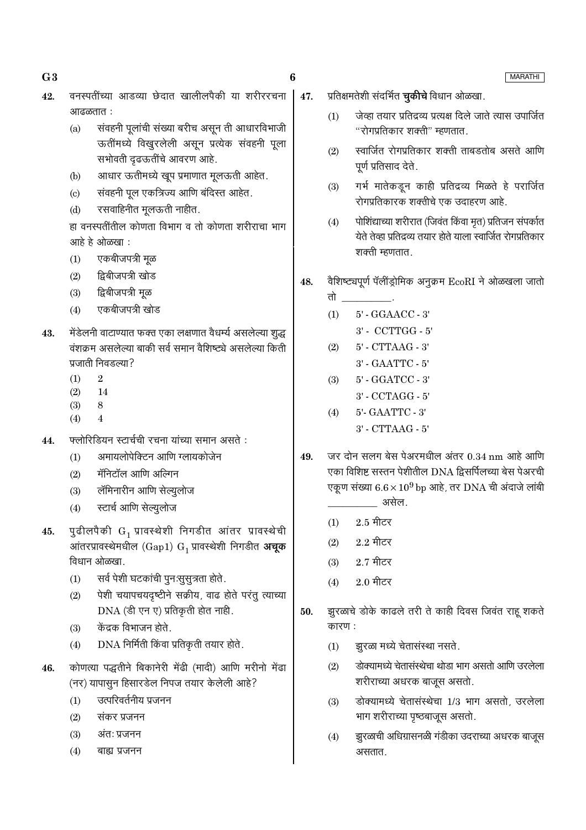- $G3$
- वनस्पतींच्या आडव्या छेदात खालीलपैकी या शरीररचना 42. आढळतात:
	- संवहनी पूलांची संख्या बरीच असून ती आधारविभाजी  $(a)$ ऊतींमध्ये विखुरलेली असून प्रत्येक संवहनी पूला सभोवती दृढऊतींचे आवरण आहे.
	- आधार ऊतीमध्ये खूप प्रमाणात मूलऊती आहेत.  $(b)$
	- संवहनी पूल एकत्रिज्य आणि बंदिस्त आहेत.  $(c)$
	- रसवाहिनीत मूलऊती नाहीत.  $(d)$

हा वनस्पतींतील कोणता विभाग व तो कोणता शरीराचा भाग आहे हे ओळखा :

- $(1)$ एकबीजपत्री मुळ
- द्विबीजपत्री खोड  $(2)$
- द्विबीजपत्री मूळ  $(3)$
- एकबीजपत्री खोड  $(4)$
- मेंडेलनी वाटाण्यात फक्त एका लक्षणात वैधर्म्य असलेल्या शुद्ध 43. वंशक्रम असलेल्या बाकी सर्व समान वैशिष्ट्ये असलेल्या किती पत्नाती निवडल्या?
	- $\overline{2}$  $(1)$
	- 14  $(2)$
	- $(3)$ 8
	- $(4)$  $\overline{4}$
- फ्लोरिडियन स्टार्चची रचना यांच्या समान असते : 44.
	- अमायलोपेक्टिन आणि ग्लायकोजेन  $(1)$
	- मॅनिटॉल आणि अल्गिन  $(2)$
	- लॅमिनारीन आणि सेल्यूलोज  $(3)$
	- स्टार्च आणि सेल्युलोज  $(4)$
- पुढीलपैकी  $G_1$  प्रावस्थेशी निगडीत आंतर प्रावस्थेची 45. आंतरप्रावस्थेमधील (Gap1)  $G_1$  प्रावस्थेशी निगडीत अचूक विधान ओळखा.
	- सर्व पेशी घटकांची पुनःसूसूत्रता होते.  $(1)$
	- पेशी चयापचयदृष्टीने सक्रीय, वाढ होते परंतु त्याच्या  $(2)$ DNA (डी एन ए) प्रतिकृती होत नाही.
	- केंद्रक विभाजन होते.  $(3)$
	- DNA निर्मिती किंवा प्रतिकृती तयार होते.  $(4)$
- कोणत्या पद्धतीने बिकानेरी मेंढी (मादी) आणि मरीनो मेंढा 46. (नर) यापासुन हिसारडेल निपज तयार केलेली आहे?
	- उत्परिवर्तनीय प्रजनन  $(1)$
	- $(2)$ संकर प्रजनन
	- $(3)$ अंतः प्रजनन
	- बाह्य प्रजनन  $(4)$
- प्रतिक्षमतेशी संदर्भित **चुकीचे** विधान ओळखा. 47.
	- जेव्हा तयार प्रतिद्रव्य प्रत्यक्ष दिले जाते त्यास उपार्जित  $(1)$ "रोगप्रतिकार शक्ती" म्हणतात.
	- स्वार्जित रोगप्रतिकार शक्ती ताबडतोब असते आणि  $(2)$ पूर्ण प्रतिसाद देते.
	- गर्भ मातेकडून काही प्रतिद्रव्य मिळते हे परार्जित  $(3)$ रोगप्रतिकारक शक्तीचे एक उदाहरण आहे.
	- पोशिंद्याच्या शरीरात (जिवंत किंवा मृत) प्रतिजन संपर्कात  $(4)$ येते तेव्हा प्रतिद्रव्य तयार होते याला स्वार्जित रोगप्रतिकार शक्ती म्हणतात.
- वैशिष्ट्यपूर्ण पॅलींड्रोमिक अनुक्रम EcoRI ने ओळखला जातो 48.
	- तो 5' - GGAACC - 3'  $(1)$  $3'$  - CCTTGG -  $5'$  $(2)$ 5' - CTTAAG - 3' 3' - GAATTC - 5'
	- $(3)$ 5' - GGATCC - 3' 3' - CCTAGG - 5'
	- 5'- GAATTC 3'  $(4)$ 3' - CTTAAG - 5'
- जर दोन सलग बेस पेअरमधील अंतर 0.34 nm आहे आणि 49. एका विशिष्ट सस्तन पेशीतील DNA द्विसर्पिलच्या बेस पेअरची एकूण संख्या  $6.6 \times 10^9$  bp आहे, तर DNA ची अंदाजे लांबी असेल.
	- $2.5$  मीटर  $(1)$
	- $2.2 \text{ } \widehat{ }$ मीटर  $(2)$
	- $2.7$  मीटर  $(3)$
	- $2.0$  मीटर  $(4)$
- झुरळाचे डोके काढले तरी ते काही दिवस जिवंत राहू शकते 50. कारण:
	- झुरळा मध्ये चेतासंस्था नसते.  $(1)$
	- डोक्यामध्ये चेतासंस्थेचा थोडा भाग असतो आणि उरलेला  $(2)$ शरीराच्या अधरक बाजूस असतो.
	- डोक्यामध्ये चेतासंस्थेचा 1/3 भाग असतो, उरलेला  $(3)$ भाग शरीराच्या पृष्ठबाजूस असतो.
	- झुरळाची अधिग्रासनळी गंडीका उदराच्या अधरक बाजूस  $(4)$ असतात.

**MARATHI** 

6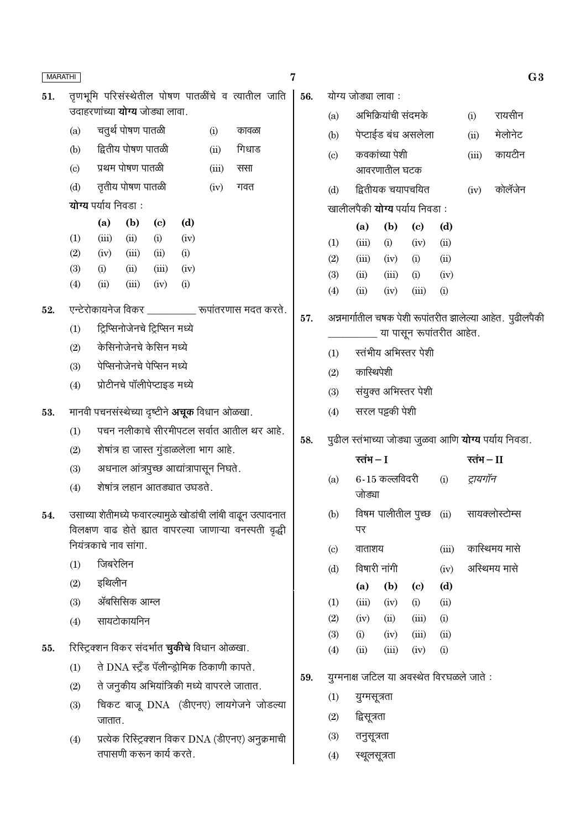| <b>MARATHI</b> |                            |                                                      |                                           |                            |             |       |                                                              | 7 |     |                            |                                           |                     |                             |             |            | G <sub>3</sub>                                               |
|----------------|----------------------------|------------------------------------------------------|-------------------------------------------|----------------------------|-------------|-------|--------------------------------------------------------------|---|-----|----------------------------|-------------------------------------------|---------------------|-----------------------------|-------------|------------|--------------------------------------------------------------|
| 51.            |                            |                                                      |                                           |                            |             |       | तृणभूमि परिसंस्थेतील पोषण पातळींचे व त्यातील जाति            |   | 56. |                            | योग्य जोड्या लावा :                       |                     |                             |             |            |                                                              |
|                |                            | उदाहरणांच्या <b>योग्य</b> जोड्या लावा.               |                                           |                            |             |       |                                                              |   |     | (a)                        |                                           | अभिक्रियांची संदमके |                             |             | (i)        | रायसीन                                                       |
|                | (a)                        |                                                      | चतुर्थ पोषण पातळी                         |                            |             | (i)   | कावळा                                                        |   |     | (b)                        |                                           |                     | पेप्टाईड बंध असलेला         |             | (ii)       | मेलोनेट                                                      |
|                | (b)                        |                                                      | द्वितीय पोषण पातळी                        |                            |             | (ii)  | गिधाड                                                        |   |     | (c)                        |                                           | कवकांच्या पेशी      |                             |             | (iii)      | कायटीन                                                       |
|                | $\left( \mathrm{c}\right)$ |                                                      | प्रथम पोषण पातळी                          |                            |             | (iii) | ससा                                                          |   |     |                            |                                           | आवरणातील घटक        |                             |             |            |                                                              |
|                | (d)                        |                                                      | तृतीय पोषण पातळी                          |                            |             | (iv)  | गवत                                                          |   |     | (d)                        |                                           | द्वितीयक चयापचयित   |                             |             | (iv)       | कोलॅजेन                                                      |
|                |                            | योग्य पर्याय निवडा:                                  |                                           |                            |             |       |                                                              |   |     |                            | खालीलपैकी <b>योग्य</b> पर्याय निवडा:      |                     |                             |             |            |                                                              |
|                |                            | (a)                                                  | (b)                                       | $\left( \mathrm{c}\right)$ | (d)         |       |                                                              |   |     |                            | (a)                                       | (b)                 | $\left( \mathbf{c} \right)$ | (d)         |            |                                                              |
|                | (1)<br>(2)                 | (iii)<br>(iv)                                        | (ii)<br>(iii)                             | (i)<br>(ii)                | (iv)<br>(i) |       |                                                              |   |     | (1)                        | (iii)                                     | (i)                 | (iv)                        | (ii)        |            |                                                              |
|                | (3)                        | (i)                                                  | (ii)                                      | (iii)                      | (iv)        |       |                                                              |   |     | (2)                        | (iii)                                     | (iv)                | (i)                         | (ii)        |            |                                                              |
|                | (4)                        | (ii)                                                 | (iii)                                     | (iv)                       | (i)         |       |                                                              |   |     | (3)                        | (ii)                                      | (iii)               | (i)                         | (iv)        |            |                                                              |
|                |                            |                                                      |                                           |                            |             |       | एन्टेरोकायनेज विकर __________ रूपांतरणास मदत करते.           |   |     | (4)                        | (ii)                                      | (iv)                | (iii)                       | (i)         |            |                                                              |
| 52.            |                            |                                                      | ट्रिप्सिनोजेनचे ट्रिप्सिन मध्ये           |                            |             |       |                                                              |   | 57. |                            |                                           |                     |                             |             |            | अन्नमार्गातील चषक पेशी रूपांतरीत झालेल्या आहेत. पुढीलपैकी    |
|                | (1)<br>(2)                 |                                                      | केसिनोजेनचे केसिन मध्ये                   |                            |             |       |                                                              |   |     |                            |                                           |                     | या पासून रूपांतरीत आहेत.    |             |            |                                                              |
|                | (3)                        |                                                      | पेप्सिनोजेनचे पेप्सिन मध्ये               |                            |             |       |                                                              |   |     | (1)                        |                                           |                     | स्तंभीय अभिस्तर पेशी        |             |            |                                                              |
|                | (4)                        |                                                      | प्रोटीनचे पॉलीपेप्टाइड मध्ये              |                            |             |       |                                                              |   |     | (2)                        | कास्थिपेशी                                |                     |                             |             |            |                                                              |
|                |                            |                                                      |                                           |                            |             |       |                                                              |   |     | (3)                        |                                           |                     | संयुक्त अभिस्तर पेशी        |             |            |                                                              |
| 53.            |                            | मानवी पचनसंस्थेच्या दृष्टीने <b>अचूक</b> विधान ओळखा. |                                           |                            |             |       |                                                              |   |     | (4)                        |                                           | सरल पट्टकी पेशी     |                             |             |            |                                                              |
|                | (1)                        |                                                      |                                           |                            |             |       | पचन नलीकाचे सीरमीपटल सर्वात आतील थर आहे.                     |   | 58. |                            |                                           |                     |                             |             |            | पुढील स्तंभाच्या जोड्या जुळवा आणि <b>योग्य</b> पर्याय निवडा. |
|                | (2)                        |                                                      | शेषांत्र हा जास्त गुंडाळलेला भाग आहे.     |                            |             |       |                                                              |   |     |                            | रतंभ $-I$                                 |                     |                             |             | रतंभ $-II$ |                                                              |
|                | (3)                        |                                                      | अधनाल आंत्रपुच्छ आद्यांत्रापासून निघते.   |                            |             |       |                                                              |   |     | (a)                        |                                           | $6 - 15$ कल्लविदरी  |                             | (i)         | ट्रायगॉन   |                                                              |
|                | (4)                        |                                                      | शेषांत्र लहान आतड्यात उघडते.              |                            |             |       |                                                              |   |     |                            | जोड्या                                    |                     |                             |             |            |                                                              |
| 54.            |                            |                                                      |                                           |                            |             |       | उसाच्या शेतीमध्ये फवारल्यामुळे खोडांची लांबी वाढून उत्पादनात |   |     | (b)                        |                                           |                     |                             |             |            | विषम पालीतील पुच्छ (ii) सायक्लोस्टोम्स                       |
|                |                            |                                                      |                                           |                            |             |       | विलक्षण वाढ होते ह्यात वापरल्या जाणाऱ्या वनस्पती वृद्धी      |   |     |                            | पर                                        |                     |                             |             |            |                                                              |
|                |                            | नियंत्रकाचे नाव सांगा.                               |                                           |                            |             |       |                                                              |   |     | $\left( \mathrm{c}\right)$ | वाताशय                                    |                     |                             | (iii)       |            | कास्थिमय मासे                                                |
|                | (1)                        | जिबरेलिन                                             |                                           |                            |             |       |                                                              |   |     | (d)                        | विषारी नांगी                              |                     |                             | (iv)        |            | अस्थिमय मासे                                                 |
|                | (2)                        | इथिलीन                                               |                                           |                            |             |       |                                                              |   |     |                            | (a)                                       | (b)                 | $\left( \mathrm{e}\right)$  | (d)         |            |                                                              |
|                | (3)                        |                                                      | ॲबसिसिक आम्ल                              |                            |             |       |                                                              |   |     | (1)                        | (iii)                                     | (iv)                | (i)                         | (ii)        |            |                                                              |
|                | (4)                        |                                                      | सायटोकायनिन                               |                            |             |       |                                                              |   |     | (2)                        | (iv)                                      | (ii)                | (iii)                       | (i)         |            |                                                              |
| 55.            |                            | रिस्ट्रिक्शन विकर संदर्भात <b>चुकीचे</b> विधान ओळखा. |                                           |                            |             |       |                                                              |   |     | (3)<br>(4)                 | (i)<br>(ii)                               | (iv)<br>(iii)       | (iii)<br>(iv)               | (ii)<br>(i) |            |                                                              |
|                | (1)                        |                                                      | ते DNA स्टूँड पॅलीन्ड्रोमिक ठिकाणी कापते. |                            |             |       |                                                              |   |     |                            |                                           |                     |                             |             |            |                                                              |
|                | (2)                        |                                                      |                                           |                            |             |       | ते जनुकीय अभियांत्रिकी मध्ये वापरले जातात.                   |   | 59. |                            | युग्मनाक्ष जटिल या अवस्थेत विरघळले जाते : |                     |                             |             |            |                                                              |
|                | (3)                        |                                                      |                                           |                            |             |       | चिकट बाजू DNA (डीएनए) लायगेजने जोडल्या                       |   |     | (1)                        | युग्मसूत्रता                              |                     |                             |             |            |                                                              |
|                |                            | जातात.                                               |                                           |                            |             |       |                                                              |   |     | (2)                        | द्विसूत्रता                               |                     |                             |             |            |                                                              |
|                | (4)                        |                                                      |                                           |                            |             |       | प्रत्येक रिस्ट्रिक्शन विकर DNA (डीएनए) अनुक्रमाची            |   |     | (3)                        | तनुसूत्रता                                |                     |                             |             |            |                                                              |
|                |                            |                                                      | तपासणी करून कार्य करते.                   |                            |             |       |                                                              |   |     | (4)                        | स्थूलसूत्रता                              |                     |                             |             |            |                                                              |
|                |                            |                                                      |                                           |                            |             |       |                                                              |   |     |                            |                                           |                     |                             |             |            |                                                              |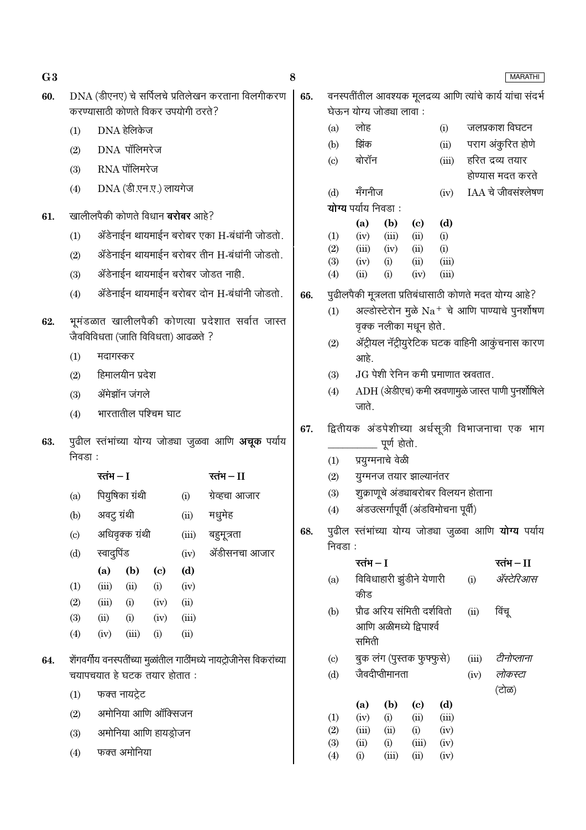| G <sub>3</sub> |            |                              |                       |                                   |                                         |                                                                     | 8   |                                   |                            |                                             |                             |               |                                       | <b>MARATHI</b>                                               |
|----------------|------------|------------------------------|-----------------------|-----------------------------------|-----------------------------------------|---------------------------------------------------------------------|-----|-----------------------------------|----------------------------|---------------------------------------------|-----------------------------|---------------|---------------------------------------|--------------------------------------------------------------|
| 60.            |            |                              |                       |                                   | करण्यासाठी कोणते विकर उपयोगी ठरते?      | DNA (डीएनए) चे सर्पिलचे प्रतिलेखन करताना विलगीकरण                   | 65. |                                   |                            | घेऊन योग्य जोड्या लावा:                     |                             |               |                                       | वनस्पतींतील आवश्यक मूलद्रव्य आणि त्यांचे कार्य यांचा संदर्भ  |
|                | (1)        |                              | DNA हेलिकेज           |                                   |                                         |                                                                     |     | (a)                               | लोह                        |                                             |                             | (i)           |                                       | जलप्रकाश विघटन                                               |
|                | (2)        |                              | DNA पॉलिमरेज          |                                   |                                         |                                                                     |     | (b)                               | झिंक                       |                                             |                             | (ii)          |                                       | पराग अंकुरित होणे                                            |
|                | (3)        |                              | RNA पॉलिमरेज          |                                   |                                         |                                                                     |     | $\left( \mathrm{c}\right)$        | बोरॉन                      |                                             |                             | (iii)         |                                       | हरित द्रव्य तयार                                             |
|                | (4)        |                              | DNA (डी.एन.ए.) लायगेज |                                   |                                         |                                                                     |     |                                   |                            |                                             |                             |               |                                       | होण्यास मदत करते                                             |
|                |            |                              |                       |                                   |                                         |                                                                     |     | (d)                               | मँगनीज                     |                                             |                             | (iv)          |                                       | $IAA$ चे जीवसंश्लेषण                                         |
| 61.            |            |                              |                       |                                   | खालीलपैकी कोणते विधान <b>बरोबर</b> आहे? |                                                                     |     |                                   | योग्य पर्याय निवडा:<br>(a) | (b)                                         | $\left( \mathrm{c}\right)$  | (d)           |                                       |                                                              |
|                | (1)        |                              |                       |                                   |                                         | ॲडेनाईन थायमाईन बरोबर एका H-बंधांनी जोडतो.                          |     | (1)                               | (iv)                       | (iii)                                       | (ii)                        | (i)           |                                       |                                                              |
|                | (2)        |                              |                       |                                   |                                         | ॲडेनाईन थायमाईन बरोबर तीन H-बंधांनी जोडतो.                          |     | (2)<br>(3)                        | (iii)                      | (iv)                                        | (ii)<br>(ii)                | (i)<br>(iii)  |                                       |                                                              |
|                | (3)        |                              |                       |                                   |                                         | ॲडेनाईन थायमाईन बरोबर जोडत नाही.                                    |     | (4)                               | (iv)<br>(ii)               | (i)<br>(i)                                  | (iv)                        | (iii)         |                                       |                                                              |
|                | (4)        |                              |                       |                                   |                                         | ॲडेनाईन थायमाईन बरोबर दोन H-बंधांनी जोडतो.                          | 66. |                                   |                            |                                             |                             |               |                                       | पुढीलपैकी मूत्रलता प्रतिबंधासाठी कोणते मदत योग्य आहे?        |
| 62.            |            |                              |                       |                                   |                                         | भूमंडळात खालीलपैकी कोणत्या प्रदेशात सर्वात जास्त                    |     | (1)                               |                            | वृक्क नलीका मधून होते.                      |                             |               |                                       | अल्डोस्टेरोन मुळे $Na$ + चे आणि पाण्याचे पुनर्शोषण           |
|                |            |                              |                       |                                   | जैवविविधता (जाति विविधता) आढळते ?       |                                                                     |     | (2)                               |                            |                                             |                             |               |                                       | ॲट्रीयल नॅट्रीयुरेटिक घटक वाहिनी आकुंचनास कारण               |
|                | (1)        | मदागस्कर                     |                       |                                   |                                         |                                                                     |     |                                   | आहे.                       |                                             |                             |               |                                       |                                                              |
|                | (2)        |                              | हिमालयीन प्रदेश       |                                   |                                         |                                                                     |     | (3)                               |                            |                                             |                             |               | $JG$ पेशी रेनिन कमी प्रमाणात स्रवतात. |                                                              |
|                | (3)        |                              | ॲमेझॉन जंगले          |                                   |                                         |                                                                     |     | (4)                               | जाते.                      |                                             |                             |               |                                       | ADH (अेडीएच) कमी स्रवणामुळे जास्त पाणी पुनर्शोषिले           |
|                | (4)        |                              | भारतातील पश्चिम घाट   |                                   |                                         |                                                                     |     |                                   |                            |                                             |                             |               |                                       |                                                              |
| 63.            | निवडा :    |                              |                       |                                   |                                         | पुढील स्तंभांच्या योग्य जोड्या जुळवा आणि <b>अचूक</b> पर्याय         | 67. |                                   |                            | पूर्ण होतो.                                 |                             |               |                                       | द्वितीयक अंडपेशीच्या अर्धसूत्री विभाजनाचा एक भाग             |
|                |            |                              |                       |                                   |                                         |                                                                     |     | (1)                               |                            | प्रयुग्मनाचे वेळी                           |                             |               |                                       |                                                              |
|                |            | रतंभ $-I$                    |                       |                                   |                                         | रतंभ $-II$                                                          |     | (2)                               |                            | युग्मनज तयार झाल्यानंतर                     |                             |               | शुक्राणूचे अंड्याबरोबर विलयन होताना   |                                                              |
|                | (a)        |                              | पियुषिका ग्रंथी       |                                   | (i)                                     | ग्रेव्हचा आजार                                                      |     | (3)<br>(4)                        |                            | अंडउत्सर्गापूर्वी (अंडविमोचना पूर्वी)       |                             |               |                                       |                                                              |
|                | (b)        | अवटु ग्रंथी                  |                       |                                   | (ii)                                    | मधुमेह                                                              |     |                                   |                            |                                             |                             |               |                                       |                                                              |
|                | (c)        |                              | अधिवृक्क ग्रंथी       |                                   | (iii)                                   | बहुमूत्रता                                                          | 68. | निवडा :                           |                            |                                             |                             |               |                                       | पुढील स्तंभांच्या योग्य जोड्या जुळवा आणि <b>योग्य</b> पर्याय |
|                | (d)        | स्वादुपिंड                   |                       |                                   | (iv)                                    | ॲडीसनचा आजार                                                        |     |                                   | रतंभ $-I$                  |                                             |                             |               |                                       | रतंभ $-$ II                                                  |
|                | (1)        | (a)<br>(iii)                 | (b)<br>(ii)           | $\left( \mathrm{c}\right)$<br>(i) | (d)<br>(iv)                             |                                                                     |     | (a)                               | कीड                        | विविधाहारी झुंडीने येणारी                   |                             |               | (i)                                   | ॲस्टेरिआस                                                    |
|                | (2)        | (iii)                        | (i)                   | (iv)                              | (ii)                                    |                                                                     |     | (b)                               |                            | प्रौढ अरिय संमिती दर्शवितो                  |                             |               | (ii)                                  | विंचू                                                        |
|                | (3)<br>(4) | (ii)<br>(iv)                 | (i)<br>(iii)          | (iv)<br>(i)                       | (iii)<br>(ii)                           |                                                                     |     |                                   |                            | आणि अळीमध्ये द्विपार्श्व                    |                             |               |                                       |                                                              |
|                |            |                              |                       |                                   |                                         |                                                                     |     |                                   | समिती                      |                                             |                             |               |                                       | टीनोप्लाना                                                   |
| 64.            |            | चयापचयात हे घटक तयार होतात : |                       |                                   |                                         | शेंगवर्गीय वनस्पतींच्या मुळांतील गाठींमध्ये नायट्रोजीनेस विकरांच्या |     | $\left( \mathrm{c}\right)$<br>(d) |                            | बुक लंग (पुस्तक फुफ्फुसे)<br>जैवदीप्तीमानता |                             |               | (iii)<br>(iv)                         | लोकस्टा                                                      |
|                |            |                              | फक्त नायट्रेट         |                                   |                                         |                                                                     |     |                                   |                            |                                             |                             |               |                                       | (टोळ)                                                        |
|                | (1)        |                              | अमोनिया आणि ऑक्सिजन   |                                   |                                         |                                                                     |     |                                   | (a)                        | (b)                                         | $\left( \mathbf{c} \right)$ | (d)           |                                       |                                                              |
|                | (2)        |                              |                       |                                   |                                         |                                                                     |     | (1)<br>(2)                        | (iv)<br>(iii)              | (i)<br>(ii)                                 | (ii)<br>(i)                 | (iii)<br>(iv) |                                       |                                                              |
|                | (3)        |                              | अमोनिया आणि हायड्रोजन |                                   |                                         |                                                                     |     | (3)                               | (ii)                       | (i)                                         | (iii)                       | (iv)          |                                       |                                                              |
|                | (4)        |                              | फक्त अमोनिया          |                                   |                                         |                                                                     |     | (4)                               | (i)                        | (iii)                                       | (ii)                        | (iv)          |                                       |                                                              |
|                |            |                              |                       |                                   |                                         |                                                                     |     |                                   |                            |                                             |                             |               |                                       |                                                              |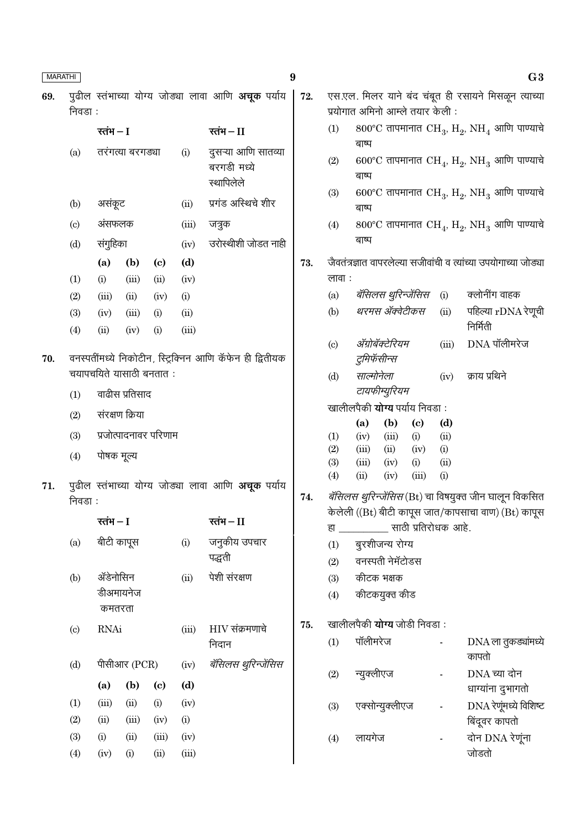| <b>MARATHI</b> |                            |                     |                  |                             |               |                                                           | $\boldsymbol{9}$ |                           |                |                                      |                                   |                | G <sub>3</sub>                                                        |
|----------------|----------------------------|---------------------|------------------|-----------------------------|---------------|-----------------------------------------------------------|------------------|---------------------------|----------------|--------------------------------------|-----------------------------------|----------------|-----------------------------------------------------------------------|
| 69.            | निवडा :                    |                     |                  |                             |               | पुढील स्तंभाच्या योग्य जोड्या लावा आणि अचूक पर्याय        | 72.              |                           |                | प्रयोगात अमिनो आम्ले तयार केली:      |                                   |                | एस.एल. मिलर याने बंद चंबूत ही रसायने मिसळून त्याच्या                  |
|                |                            | रतंभ $-I$           |                  |                             |               | रतंभ – $II$                                               |                  | (1)                       |                |                                      |                                   |                | 800°C तापमानात $\rm CH_{3}$ , $\rm H_{2}$ , $\rm NH_{4}$ आणि पाण्याचे |
|                | (a)                        |                     | तरंगत्या बरगड्या |                             | (i)           | दुसऱ्या आणि सातव्या<br>बरगडी मध्ये<br>स्थापिलेले          |                  | (2)                       | बाष्प<br>बाष्प |                                      |                                   |                | 600°C तापमानात $\rm CH_{4}$ , $\rm H_{2}$ , $\rm NH_{3}$ आणि पाण्याचे |
|                | (b)                        | असंकूट              |                  |                             | (ii)          | प्रगंड अस्थिचे शीर                                        |                  | (3)                       | बाष्प          |                                      |                                   |                | 600°C तापमानात $CH_3$ , $H_2$ , NH <sub>3</sub> आणि पाण्याचे          |
|                | $\left( \mathrm{c}\right)$ | अंसफलक              |                  |                             | (iii)         | जत्रुक                                                    |                  | (4)                       |                |                                      |                                   |                | 800°C तापमानात $CH_4$ , $H_2$ , NH <sub>3</sub> आणि पाण्याचे          |
|                | (d)                        | संगुहिका            |                  |                             | (iv)          | उरोस्थीशी जोडत नाही                                       |                  |                           | बाष्प          |                                      |                                   |                |                                                                       |
|                |                            | (a)                 | (b)              | $\left( \mathbf{c} \right)$ | (d)           |                                                           | 73.              |                           |                |                                      |                                   |                | जैवतंत्रज्ञात वापरलेल्या सजीवांची व त्यांच्या उपयोगाच्या जोड्या       |
|                | (1)                        | (i)                 | (iii)            | (ii)                        | (iv)          |                                                           |                  | लावा :                    |                |                                      |                                   |                |                                                                       |
|                | (2)                        | (iii)               | (ii)             | (iv)                        | (i)           |                                                           |                  | (a)                       |                | <i>बॅसिलस थुरिन्जेंसिस</i> (i)       |                                   |                | क्लोनींग वाहक                                                         |
|                | (3)<br>(4)                 | (iv)<br>(ii)        | (iii)<br>(iv)    | (i)<br>(i)                  | (ii)<br>(iii) |                                                           |                  | (b)                       |                | थरमस ॲक्वेटीकस                       |                                   | (ii)           | पहिल्या $rDNA$ रेणूची<br>निर्मिती                                     |
|                |                            |                     |                  |                             |               |                                                           |                  | $\left( \text{c} \right)$ |                | ॲग्रोबॅक्टेरियम                      |                                   | (iii)          | $DNA$ पॉलीमरेज                                                        |
| 70.            |                            |                     |                  |                             |               | वनस्पतींमध्ये निकोटीन, स्ट्रिक्निन आणि कॅफेन ही द्वितीयक  |                  |                           |                | टुमिफॅसीन्स                          |                                   |                |                                                                       |
|                |                            |                     |                  | चयापचयिते यासाठी बनतात:     |               |                                                           |                  | (d)                       | साल्मोनेला     |                                      |                                   | (iv)           | क्राय प्रथिने                                                         |
|                | (1)                        |                     | वाढीस प्रतिसाद   |                             |               |                                                           |                  |                           |                | टायफीम्युरियम                        |                                   |                |                                                                       |
|                | (2)                        |                     | संरक्षण क्रिया   |                             |               |                                                           |                  |                           |                | खालीलपैकी <b>योग्य</b> पर्याय निवडा: |                                   |                |                                                                       |
|                | (3)                        |                     |                  | प्रजोत्पादनावर परिणाम       |               |                                                           |                  | (1)                       | (a)<br>(iv)    | (b)<br>(iii)                         | $\left( \mathrm{e}\right)$<br>(i) | (d)<br>(ii)    |                                                                       |
|                |                            |                     |                  |                             |               |                                                           |                  | (2)                       | (iii)          | (ii)                                 | (iv)                              | (i)            |                                                                       |
|                | (4)                        | पोषक मूल्य          |                  |                             |               |                                                           |                  | (3)                       | (iii)          | (iv)                                 | (i)                               | (ii)           |                                                                       |
| 71.            |                            |                     |                  |                             |               | पुढील स्तंभाच्या योग्य जोड्या लावा आणि <b>अचूक</b> पर्याय |                  | (4)                       | (ii)           | (iv)                                 | (iii)                             | (i)            |                                                                       |
|                | निवडा :                    |                     |                  |                             |               |                                                           | 74.              |                           |                |                                      |                                   |                | <i>बॅसिलस थुरिन्जेंसिस</i> (Bt) चा विषयुक्त जीन घालून विकसित          |
|                |                            | रतंभ $-I$           |                  |                             |               | रतंभ $-I$                                                 |                  |                           |                | हा ____________ साठी प्रतिरोधक आहे.  |                                   |                | केलेली ((Bt) बीटी कापूस जात/कापसाचा वाण) (Bt) कापूस                   |
|                | (a)                        | बीटी कापूस          |                  |                             | (i)           | जनुकीय उपचार                                              |                  | (1)                       |                | बुरशीजन्य रोग्य                      |                                   |                |                                                                       |
|                |                            |                     |                  |                             |               | पद्धती                                                    |                  | (2)                       |                | वनस्पती नेमॅटोडस                     |                                   |                |                                                                       |
|                | (b)                        | ॲडेनोसिन            |                  |                             | (ii)          | पेशी संरक्षण                                              |                  | (3)                       |                | कीटक भक्षक                           |                                   |                |                                                                       |
|                |                            | डीअमायनेज<br>कमतरता |                  |                             |               |                                                           |                  | (4)                       |                | कीटकयुक्त कीड                        |                                   |                |                                                                       |
|                |                            |                     |                  |                             |               |                                                           | 75.              |                           |                | खालीलपैकी <b>योग्य</b> जोडी निवडा :  |                                   |                |                                                                       |
|                | $\left( \mathrm{c}\right)$ | <b>RNAi</b>         |                  |                             | (iii)         | $HIV$ संक्रमणाचे<br>निदान                                 |                  | (1)                       | पॉलीमरेज       |                                      |                                   |                | DNA ला तुकड्यांमध्ये                                                  |
|                | (d)                        |                     | पीसीआर (PCR)     |                             | (iv)          | बॅसिलस थुरिन्जेंसिस                                       |                  |                           |                |                                      |                                   |                | कापतो<br>DNA च्या दोन                                                 |
|                |                            | (a)                 | (b)              | $\left( \mathbf{c} \right)$ | (d)           |                                                           |                  | (2)                       | न्युक्लीएज     |                                      |                                   |                | धाग्यांना दुभागतो                                                     |
|                | (1)                        | (iii)               | (ii)             | (i)                         | (iv)          |                                                           |                  | (3)                       |                | एक्सोन्युक्लीएज                      |                                   | $\blacksquare$ | DNA रेणूंमध्ये विशिष्ट                                                |
|                | (2)                        | (ii)                | (iii)            | (iv)                        | (i)           |                                                           |                  |                           |                |                                      |                                   |                | बिंदूवर कापतो                                                         |
|                | (3)                        | (i)                 | (ii)             | (iii)                       | (iv)          |                                                           |                  | (4)                       | लायगेज         |                                      |                                   | $\frac{1}{2}$  | दोन DNA रेणूंना                                                       |
|                | (4)                        | (iv)                | (i)              | (ii)                        | (iii)         |                                                           |                  |                           |                |                                      |                                   |                | जोडतो                                                                 |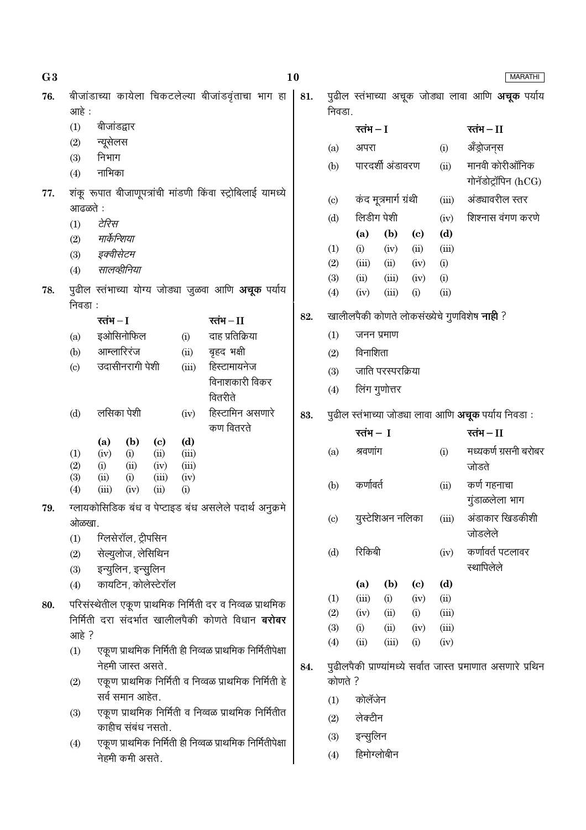| बीजांडाच्या कायेला चिकटलेल्या बीजांडवृंताचा भाग हा<br>पुढील स्तंभाच्या अचूक जोड्या लावा आणि <b>अचूक</b> पर्याय<br>81.<br>76.<br>निवडा.<br>आहे :                    |                                       |
|--------------------------------------------------------------------------------------------------------------------------------------------------------------------|---------------------------------------|
|                                                                                                                                                                    |                                       |
| बीजांडद्वार<br>(1)<br>रतंभ $-I$                                                                                                                                    | रतंभ $-$ II                           |
| न्यूसेलस<br>(2)<br>अपरा<br>(i)<br>(a)                                                                                                                              | ॲंड्रोजन्स                            |
| निभाग<br>(3)<br>पारदर्शी अंडावरण<br>(ii)<br>(b)<br>नाभिका<br>(4)                                                                                                   | मानवी कोरीऑनिक<br>गोनॅडोट्रॉपिन (hCG) |
| शंकू रूपात बीजाणूपत्रांची मांडणी किंवा स्ट्रोबिलाई यामध्ये<br>77.<br>कंद मूत्रमार्ग ग्रंथी<br>(iii)<br>(c)                                                         | अंड्यावरील स्तर                       |
| आढळते :<br>लिडीग पेशी<br>(d)<br>(iv)                                                                                                                               | शिश्नास वंगण करणे                     |
| टेरिस<br>(1)<br>(d)<br>(a)<br>(b)<br>$\left( \mathrm{c}\right)$<br>मार्केन्शिया<br>(2)                                                                             |                                       |
| (iii)<br>(1)<br>(i)<br>(iv)<br>(ii)<br>इक्वीसेटम<br>(3)                                                                                                            |                                       |
| (2)<br>(iii)<br>(ii)<br>(i)<br>(iv)<br>सालव्हीनिया<br>(4)                                                                                                          |                                       |
| (3)<br>(iii)<br>(i)<br>(ii)<br>(iv)<br>पुढील स्तंभाच्या योग्य जोड्या जुळवा आणि <b>अचूक</b> पर्याय<br>78.<br>(ii)<br>(4)<br>(iii)<br>(i)<br>(iv)                    |                                       |
| निवडा :                                                                                                                                                            |                                       |
| खालीलपैकी कोणते लोकसंख्येचे गुणविशेष <b>नाही</b> ?<br>82.<br>रतंभ $-I$<br>रतंभ $-I$                                                                                |                                       |
| दाह प्रतिक्रिया<br>(1)<br>इओसिनोफिल<br>जनन प्रमाण<br>(i)<br>(a)                                                                                                    |                                       |
| आम्लारिरंज<br>बृहद भक्षी<br>(ii)<br>(b)<br>विनाशिता<br>(2)                                                                                                         |                                       |
| उदासीनरागी पेशी<br>हिस्टामायनेज<br>(iii)<br>$\left( \mathrm{c}\right)$<br>जाति परस्परक्रिया<br>(3)                                                                 |                                       |
| विनाशकारी विकर<br>लिंग गुणोत्तर<br>(4)<br>वितरीते                                                                                                                  |                                       |
| हिस्टामिन असणारे<br>लसिका पेशी<br>(d)<br>(iv)<br>पुढील स्तंभाच्या जोड्या लावा आणि <b>अचूक</b> पर्याय निवडा :<br>83.                                                |                                       |
| कण वितरते<br>रतंभ $-1$<br>(b)<br>(d)<br>(a)<br>$\left( \mathrm{c}\right)$                                                                                          | रतंभ $-II$                            |
| श्रवणांग<br>(a)<br>(i)<br>(iii)<br>(1)<br>(iv)<br>(i)<br>(ii)<br>(2)<br>(iii)<br>जोडते<br>(ii)<br>(iv)<br>(i)                                                      | मध्यकर्ण ग्रसनी बरोबर                 |
| (3)<br>(iv)<br>(ii)<br>(i)<br>(iii)<br>कर्णावर्त<br>(ii)<br>(b)<br>(iii)<br>(i)<br>(4)<br>(ii)<br>(iv)                                                             | कर्ण गहनाचा<br>गुंडाळलेला भाग         |
| ग्लायकोसिडिक बंध व पेप्टाइड बंध असलेले पदार्थ अनुक्रमे<br>79.<br>युस्टेशिअन नलिका<br>(iii)<br>(c)<br>ओळखा.                                                         | अंडाकार खिडकीशी                       |
| ग्लिसेरॉल, ट्रीपसिन<br>(1)                                                                                                                                         | जोडलेले                               |
| रिकिबी<br>(d)<br>(iv)<br>सेल्युलोज, लेसिथिन<br>(2)<br>इन्युलिन, इन्सुलिन<br>(3)                                                                                    | कर्णावर्त पटलावर<br>स्थापिलेले        |
| कायटिन, कोलेस्टेरॉल<br>(d)<br>(b)<br>(a)<br>(c)<br>(4)                                                                                                             |                                       |
| (iii)<br>(i)<br>(iv)<br>(ii)<br>(1)<br>परिसंस्थेतील एकूण प्राथमिक निर्मिती दर व निव्वळ प्राथमिक<br>80.                                                             |                                       |
| (2)<br>(ii)<br>(i)<br>(iii)<br>(iv)<br>निर्मिती दरा संदर्भात खालीलपैकी कोणते विधान <b>बरोबर</b>                                                                    |                                       |
| (3)<br>(ii)<br>(iii)<br>(i)<br>(iv)<br>आहे?                                                                                                                        |                                       |
| (4)<br>(ii)<br>(iii)<br>(i)<br>(iv)<br>एकूण प्राथमिक निर्मिती ही निव्वळ प्राथमिक निर्मितीपेक्षा<br>(1)                                                             |                                       |
| नेहमी जास्त असते.<br>पुढीलपैकी प्राण्यांमध्ये सर्वात जास्त प्रमाणात असणारे प्रथिन<br>84.<br>एकूण प्राथमिक निर्मिती व निव्वळ प्राथमिक निर्मिती हे<br>कोणते ?<br>(2) |                                       |
| सर्व समान आहेत.<br>कोलॅंजेन<br>(1)                                                                                                                                 |                                       |
| एकूण प्राथमिक निर्मिती व निव्वळ प्राथमिक निर्मितीत<br>(3)<br>लेक्टीन<br>(2)<br>काहीच संबंध नसतो.                                                                   |                                       |
| इन्सुलिन<br>(3)<br>एकूण प्राथमिक निर्मिती ही निव्वळ प्राथमिक निर्मितीपेक्षा<br>(4)                                                                                 |                                       |
| हिमोग्लोबीन<br>(4)<br>नेहमी कमी असते.                                                                                                                              |                                       |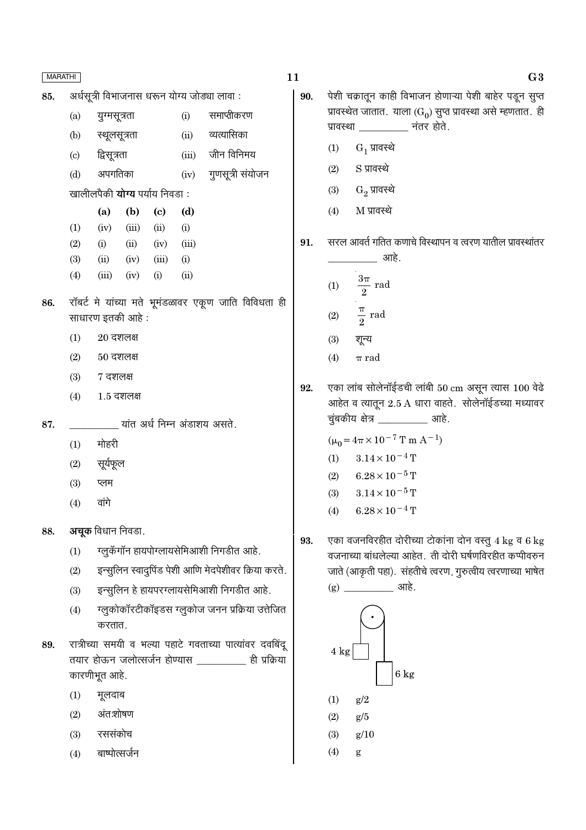|     | <b>MARATHI</b>             |                                       |                      |                             |      |                                                          |
|-----|----------------------------|---------------------------------------|----------------------|-----------------------------|------|----------------------------------------------------------|
| 85. |                            |                                       |                      |                             |      | अर्धसूत्री विभाजनास धरून योग्य जोड्या लावा:              |
|     | (a)                        | युग्मसूत्रता                          |                      |                             | (i)  | समाप्तीकरण                                               |
|     |                            | (b) स्थूलसूत्रता                      |                      |                             |      | (ii) व्यत्यासिका                                         |
|     | $\left( \mathrm{c}\right)$ | द्विसूत्रता                           |                      |                             |      | (iii) जीन विनिमय                                         |
|     |                            | (d) अपगतिका                           |                      |                             |      | (iv) गुणसूत्री संयोजन                                    |
|     |                            | खालीलपैकी <b>योग्य</b> पर्याय निवडा : |                      |                             |      |                                                          |
|     |                            |                                       |                      | (a) (b) (c)                 | (d)  |                                                          |
|     | (1)                        |                                       |                      | $(iv)$ $(iii)$ $(ii)$       | (i)  |                                                          |
|     | (2)                        |                                       |                      | (i) (ii) (iv) (iii)         |      |                                                          |
|     | (3)                        |                                       |                      | $(ii)$ $(iv)$ $(iii)$ $(i)$ |      |                                                          |
|     | (4)                        |                                       | $(iii)$ $(iv)$ $(i)$ |                             | (ii) |                                                          |
| 86. |                            | साधारण इतकी आहे :                     |                      |                             |      | रॉबर्ट मे यांच्या मते भूमंडळावर एकूण जाति विविधता ही     |
|     | (1)                        | $20\,$ दशलक्ष                         |                      |                             |      |                                                          |
|     |                            | $(2) 50$ दशलक्ष                       |                      |                             |      |                                                          |
|     |                            | $(3)$ 7 दशलक्ष                        |                      |                             |      |                                                          |
|     | (4)                        |                                       | $1.5$ दशलक्ष         |                             |      |                                                          |
| 87. |                            |                                       |                      |                             |      | यांत अर्ध निम्न अंडाशय असते.                             |
|     | (1)                        | मोहरी                                 |                      |                             |      |                                                          |
|     |                            | $(2)$ सूर्यफूल                        |                      |                             |      |                                                          |
|     | (3)                        | प्लम                                  |                      |                             |      |                                                          |
|     | (4)                        | वांगे                                 |                      |                             |      |                                                          |
| 88. |                            | <b>अचूक</b> विधान निवडा.              |                      |                             |      |                                                          |
|     | (1)                        |                                       |                      |                             |      | ग्लुकॅगॉन हायपोग्लायसेमिआशी निगडीत आहे.                  |
|     | (2)                        |                                       |                      |                             |      | इन्सुलिन स्वादुपिंड पेशी आणि मेदपेशीवर क्रिया करते.      |
|     | (3)                        |                                       |                      |                             |      | इन्सुलिन हे हायपरग्लायसेमिआशी निगडीत आहे.                |
|     | (4)                        | करतात.                                |                      |                             |      | ग्लूकोकॉरटीकॉइडस ग्लूकोज जनन प्रक्रिया उत्तेजित          |
| 89. |                            |                                       |                      |                             |      | रात्रीच्या समयी व भल्या पहाटे गवताच्या पात्यांवर दवबिंदू |
|     |                            | कारणीभूत आहे.                         |                      |                             |      | तयार होऊन जलोत्सर्जन होण्यास __________ ही प्रक्रिया     |
|     | (1)                        | मूलदाब                                |                      |                             |      |                                                          |
|     | (2)                        | अंत:शोषण                              |                      |                             |      |                                                          |
|     |                            |                                       |                      |                             |      |                                                          |

- रससंकोच  $(3)$
- बाष्पोत्सर्जन  $(4)$

11

- पेशी चक्रातून काही विभाजन होणाऱ्या पेशी बाहेर पडून सुप्त 90. प्रावस्थेत जातात. याला  $(G_0)$  सुप्त प्रावस्था असे म्हणतात. ही प्रावस्था \_\_\_\_\_\_\_\_\_\_ नंतर होते.
	- $G_1$  प्रावस्थे  $(1)$
	- S प्रावस्थे  $(2)$
	- $G_2$  प्रावस्थे  $(3)$
	- $M$  प्रावस्थे  $(4)$

सरल आवर्त गतित कणाचे विस्थापन व त्वरण यातील प्रावस्थांतर 91. ्<br>अग्रहे

(1) 
$$
\frac{3\pi}{2} \text{ rad}
$$
  
(2) 
$$
\frac{\pi}{2} \text{ rad}
$$

$$
(3) \qquad \overline{\mathbf{Y}}\mathbf{F}^{\mathbf{Z}}
$$

$$
(4) \qquad \pi \ \mathrm{rad}
$$

एका लांब सोलेनॉईडची लांबी 50 cm असून त्यास 100 वेढे 92. आहेत व त्यातून 2.5 A धारा वाहते. सोलेनॉईडच्या मध्यावर चुंबकीय क्षेत्र \_\_\_\_\_\_\_\_\_\_\_ आहे.

 $(\mu_0 = 4\pi \times 10^{-7} \text{ T m A}^{-1})$ 

- $(1)$  $3.14 \times 10^{-4}$  T
- $6.28 \times 10^{-5}$  T  $(2)$
- $3.14 \times 10^{-5}$  T  $(3)$
- $6.28\times10^{-4}\,\mathrm{T}$  $(4)$
- एका वजनविरहीत दोरीच्या टोकांना दोन वस्तु 4 kg व 6 kg 93. वजनाच्या बांधलेल्या आहेत. ती दोरी घर्षणविरहीत कप्पीवरुन जाते (आकृती पहा). संहतीचे त्वरण, गुरुत्वीय त्वरणाच्या भाषेत  $(g)$   $\frac{1}{1}$   $\frac{1}{1}$   $\frac{1}{1}$   $\frac{1}{1}$   $\frac{1}{1}$   $\frac{1}{1}$   $\frac{1}{1}$   $\frac{1}{1}$   $\frac{1}{1}$   $\frac{1}{1}$   $\frac{1}{1}$   $\frac{1}{1}$   $\frac{1}{1}$   $\frac{1}{1}$   $\frac{1}{1}$   $\frac{1}{1}$   $\frac{1}{1}$   $\frac{1}{1}$   $\frac{1}{1}$   $\frac{1}{1}$   $\frac{1}{1}$   $\frac{1}{$

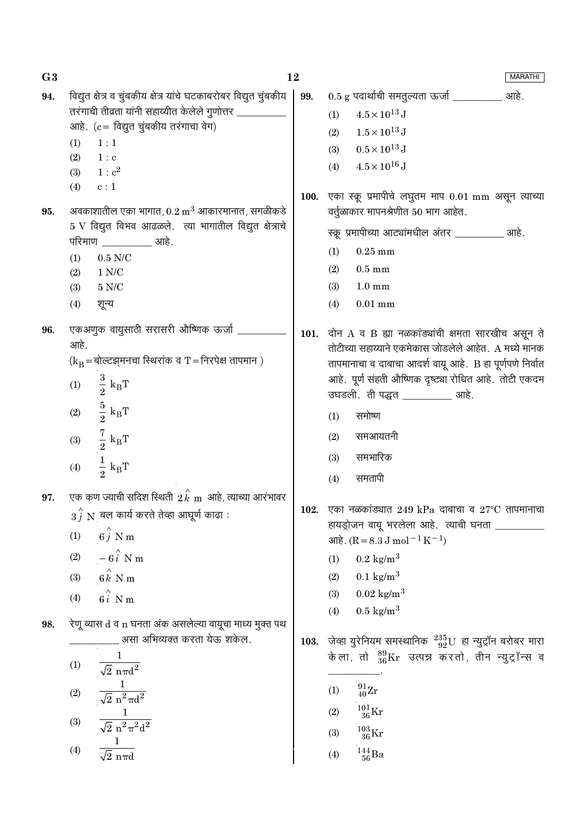$G<sub>3</sub>$ 12 **MARATHI** विद्युत क्षेत्र व चुंबकीय क्षेत्र यांचे घटकाबरोबर विद्युत चुंबकीय  $0.5$  g पदार्थाची समतूल्यता ऊर्जा \_\_\_\_\_\_\_\_\_\_\_ आहे. 94. 99. तरंगाची तीव्रता यांनी सहाय्यीत केलेले गुणोत्तर \_  $4.5 \times 10^{13}$  J  $(1)$ आहे. (c = विद्युत चुंबकीय तरंगाचा वेग)  $(2)$  $1.5 \times 10^{13}$  J  $(1)$  $1:1$  $0.5 \times 10^{13}$  J  $(3)$  $(2)$  $1 : c$  $(4)$  $4.5 \times 10^{16}$  J  $1: c^2$  $(3)$  $(4)$  $c:1$ 100. एका स्क्रू प्रमापीचे लघुतम माप 0.01 mm असून त्याच्या अवकाशातील एका भागात,  $0.2 \text{ m}^3$  आकारमानात, सगळीकडे वर्तुळाकार मापनश्रेणीत 50 भाग आहेत. 95.  $5$  V विद्युत विभव आढळले. त्या भागातील विद्युत क्षेत्राचे स्क्र प्रमापीच्या आट्यांमधील अंतर व्याहि. परिमाण <u>\_\_\_\_\_\_\_\_\_\_</u> आहे.  $0.25$  mm  $(1)$  $0.5$  N/C  $(1)$  $(2)$  $0.5 \text{ mm}$  $(2)$  $1 N/C$  $5 N/C$  $(3)$  $1.0 \text{ mm}$  $(3)$  $(4)$ शून्य  $(4)$  $0.01$  mm एकअणुक वायुसाठी सरासरी औष्णिक ऊर्जा 96. 101. दोन  $A$  व B ह्या नळकांड्यांची क्षमता सारखीच असून ते आहे. तोटीच्या सहाय्याने एकमेकास जोडलेले आहेत. A मध्ये मानक  $(k_B = \text{sqrt}$ व्ह्यसनचा स्थिरांक व T = निरपेक्ष तापमान) तापमानाचा व दाबाचा आदर्श वायू आहे. B हा पूर्णपणे निर्वात  $\begin{aligned} \frac{3}{2} \ k_{\mathrm{B}}\text{T} \\ \frac{5}{2} \ k_{\mathrm{B}}\text{T} \\ \frac{7}{2} \ k_{\mathrm{B}}\text{T} \end{aligned}$ आहे. पूर्ण संहती औष्णिक दृष्ट्या रोधित आहे. तोटी एकदम  $(1)$ उघडली. ती पद्धत बाहे.  $(2)$ समोष्ण  $(1)$  $(2)$ समआयतनी  $(3)$  $(3)$ समभारिक  $\frac{1}{2}$  k<sub>B</sub>T  $(4)$ समतापी  $(4)$ एक कण ज्याची सदिश स्थिती  $\stackrel{\wedge}{2}{\stackrel{k}{k}}$ m आहे, त्याच्या आरंभावर 97. 102. एका नळकांड्यात 249 kPa दाबाचा व 27°C तापमानाचा  $\overrightarrow{3f}$  N बल कार्य करते तेव्हा आघूर्ण काढा : हायड्रोजन वायू भरलेला आहे. त्याची घनता  $6\hat{i}$  N m  $(1)$  $\text{snk.} (R = 8.3 \text{ J} \text{ mol}^{-1} \text{ K}^{-1})$  $-6\hat{i}$  N m  $(2)$  $0.2 \text{ kg/m}^3$  $(1)$  $6\hat{k}$  N m  $0.1 \text{ kg/m}^3$  $(3)$  $(2)$  $0.02 \text{ kg/m}^3$  $6i$  N m  $(3)$  $(4)$  $0.5 \text{ kg/m}^3$  $(4)$ रेणू व्यास d व n घनता अंक असलेल्या वायूचा माध्य मुक्त पथ 98. 103. जेव्हा युरेनियम समस्थानिक<sup>235</sup>92U हा न्युट्रॉन बरोबर मारा \_ असा अभिव्यक्त करता येऊ शकेल. केला, तो  $^{89}_{36}\text{Kr}$  उत्पन्न करतो, तीन न्युट्रॉन्स व  $(1)$  $\sqrt{2} \text{ n} \pi d^2$  $\frac{1}{\sqrt{2} \; \text{n}^2 \pi \text{d}^2}$  $\frac{91}{40}\text{Zr}$  $(1)$  $(2)$  $\frac{101}{36}\mathrm{Kr}$  $(2)$  $\frac{1}{\sqrt{2}\;\text{n}^2\pi^2\text{d}^2}$  $(3)$  $\frac{103}{36}\mathrm{Kr}$  $(3)$  $\frac{144}{56}\text{Ba}$  $(4)$  $(4)$  $\sqrt{2}$  nπ $\epsilon$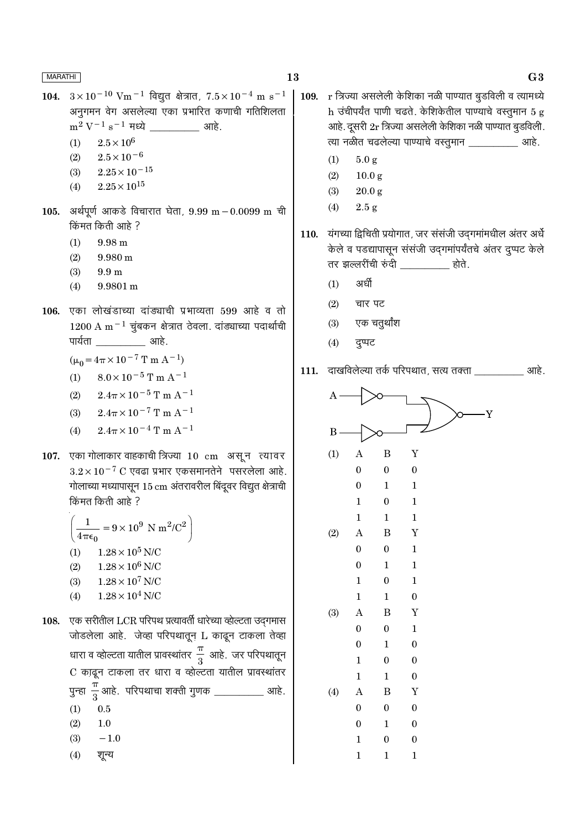- 104.  $3 \times 10^{-10}$  Vm<sup>-1</sup> विद्युत क्षेत्रात,  $7.5 \times 10^{-4}$  m s<sup>-1</sup> अनुगमन वेग असलेल्या एका प्रभारित कणाची गतिशिलता  $m^2 V^{-1} s^{-1}$  मध्ये \_\_\_\_\_\_\_\_\_\_\_\_\_ आहे.
	- $2.5\times10^6$  $(1)$
	- $2.5\times10^{-6}$  $(2)$
	- $2.25 \times 10^{-15}$  $(3)$
	- $2.25 \times 10^{15}$  $(4)$
- 105. अर्थपूर्ण आकडे विचारात घेता, 9.99 m 0.0099 m ची किंमत किती आहे ?
	- $9.98 \text{ m}$  $(1)$
	- $(2)$  $9.980 \text{ m}$
	- $9.9<sub>m</sub>$  $(3)$
	- $9.9801 \,\mathrm{m}$  $(4)$
- 106. एका लोखंडाच्या दांड्याची प्रभाव्यता 599 आहे व तो  $1200$  A m<sup>-1</sup> चूंबकन क्षेत्रात ठेवला. दांड्याच्या पदार्थाची पार्यता आहे.

$$
(\mu_0 = 4\pi \times 10^{-7} \text{ T m A}^{-1})
$$

- $8.0 \times 10^{-5}$  T m A<sup>-1</sup>  $(1)$
- $2.4\pi \times 10^{-5}$  T m A<sup>-1</sup>  $(2)$
- $2.4\pi \times 10^{-7}$  T m A<sup>-1</sup>  $(3)$
- $2.4\pi \times 10^{-4}$  T m A<sup>-1</sup>  $(4)$
- 107. एका गोलाकार वाहकाची त्रिज्या 10 cm असून त्यावर  $3.2 \times 10^{-7}$  C एवढा प्रभार एकसमानतेने पसरलेला आहे. गोलाच्या मध्यापासून 15 cm अंतरावरील बिंदूवर विद्युत क्षेत्राची किंमत किती आहे ?

 $\frac{1}{4\pi\epsilon_0} = 9 \times 10^9 \text{ N m}^2/\text{C}^2$  $4\pi\epsilon_0$  $1.28 \times 10^5$  N/C  $(1)$  $1.28 \times 10^6$  N/C  $(2)$  $1.28 \times 10^7$  N/C  $(3)$  $1.28 \times 10^4$  N/C  $(4)$ 

- $108.$  एक सरीतील LCR परिपथ प्रत्यावर्ती धारेच्या व्होल्टता उदगमास जोडलेला आहे. जेव्हा परिपथातून L काढून टाकला तेव्हा धारा व व्होल्टता यातील प्रावस्थांतर $\frac{\pi}{3}$  आहे. जर परिपथातून C काढून टाकला तर धारा व व्होल्टता यातील प्रावस्थांतर पुन्हा  $\frac{\pi}{3}$ आहे. परिपथाचा शक्ती गुणक \_\_\_\_\_\_\_\_\_\_\_ आहे.  $(1)$  $0.5$  $(2)$  $1.0$ 
	- $-1.0$  $(3)$
	- शुन्य  $(4)$
- $r$  त्रिज्या असलेली केशिका नळी पाण्यात बूडविली व त्यामध्ये 109. h उंचीपर्यंत पाणी चढते. केशिकेतील पाण्याचे वस्तूमान 5 g आहे. दूसरी 2r त्रिज्या असलेली केशिका नळी पाण्यात बुडविली. त्या नळीत चढलेल्या पाण्याचे वस्तूमान खाडी.
	- $(1)$  $5.0 g$
	- $(2)$  $10.0 g$
	- $(3)$  $20.0 g$
	- $2.5 g$  $(4)$

110. यंगच्या द्विचिती प्रयोगात, जर संसंजी उदगमांमधील अंतर अर्ध केले व पडद्यापासून संसंजी उद्गमांपर्यंतचे अंतर दुप्पट केले तर झल्लरींची रुंदी बाल कोते.

- अर्धी  $(1)$
- $(2)$ चार पट
- एक चतुर्थांश  $(3)$
- $(4)$ दुप्पट
- 111. दाखविलेल्या तर्क परिपथात, सत्य तक्ता विकास आहे.

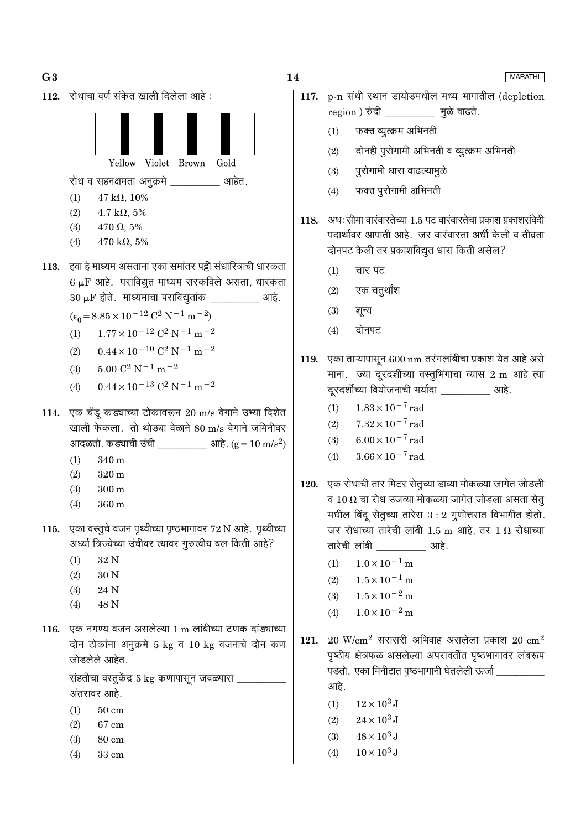

# 117. p-n संधी स्थान डायोडमधील मध्य भागातील (depletion region ) रुंदी \_\_\_\_\_\_\_\_\_\_\_\_\_ मुळे वाढते.

- फक्त व्युत्क्रम अभिनती  $(1)$
- दोनही पुरोगामी अभिनती व व्युत्क्रम अभिनती  $(2)$
- पुरोगामी धारा वाढल्यामुळे  $(3)$
- फक्त पुरोगामी अभिनती  $(4)$
- 118. अधः सीमा वारंवारतेच्या 1.5 पट वारंवारतेचा प्रकाश प्रकाशसंवेदी पदार्थावर आपाती आहे. जर वारंवारता अर्धी केली व तीव्रता दोनपट केली तर प्रकाशविद्युत धारा किती असेल?
	- $(1)$ चार पट
	- एक चतुर्थांश  $(2)$
	- $(3)$ शून्य
	- दोनपट  $(4)$
- 119. एका ताऱ्यापासून 600 nm तरंगलांबीचा प्रकाश येत आहे असे माना. ज्या दूरदर्शीच्या वस्तुभिंगाचा व्यास 2 m आहे त्या दूरदर्शीच्या वियोजनाची मर्यादा \_\_\_\_\_\_\_\_\_\_\_ आहे.
	- $1.83 \times 10^{-7}$  rad  $(1)$
	- $7.32 \times 10^{-7}$  rad  $(2)$
	- $6.00 \times 10^{-7}$  rad  $(3)$
	- $3.66 \times 10^{-7}$  rad  $(4)$
- 120. एक रोधाची तार मिटर सेतूच्या डाव्या मोकळ्या जागेत जोडली व 10  $\Omega$  चा रोध उजव्या मोकळ्या जागेत जोडला असता सेतू मधील बिंदू सेतूच्या तारेस  $3:2$  गुणोत्तरात विभागीत होतो. जर रोधाच्या तारेची लांबी 1.5 m आहे, तर 1  $\Omega$  रोधाच्या तारेची लांबी बाहे.
	- $1.0 \times 10^{-1}$  m  $(1)$
	- $1.5 \times 10^{-1}$  m  $(2)$
	- $1.5 \times 10^{-2}$  m  $(3)$
	- $1.0 \times 10^{-2}$  m  $(4)$
- $20$  W/cm<sup>2</sup> सरासरी अभिवाह असलेला प्रकाश  $20$  cm<sup>2</sup> 121. पृष्ठीय क्षेत्रफळ असलेल्या अपरावर्तीत पृष्ठभागावर लंबरूप पडतो. एका मिनीटात पृष्ठभागानी घेतलेली ऊर्जा \_\_\_\_\_\_ आहे.
	- $12 \times 10^3$  J  $(1)$
	- $24 \times 10^3$  J  $(2)$
	- $48 \times 10^3$  J  $(3)$
	- $10 \times 10^3$  J  $(4)$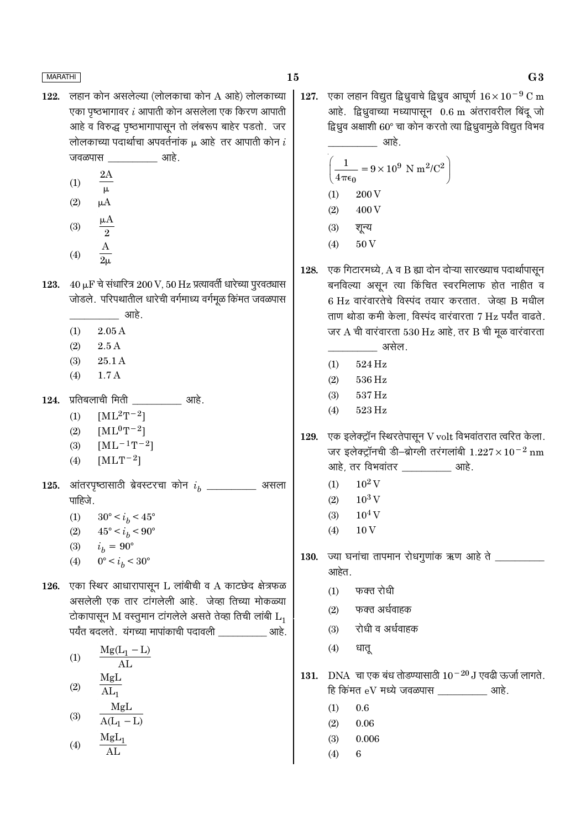122. लहान कोन असलेल्या (लोलकाचा कोन A आहे) लोलकाच्या एका पृष्ठभागावर  $i$  आपाती कोन असलेला एक किरण आपाती आहे व विरुद्ध पृष्ठभागापासून तो लंबरूप बाहेर पडतो. जर लोलकाच्या पदार्थाचा अपवर्तनांक  $\mu$  आहे तर आपाती कोन  $i$ जवळपास ः आहे.

|                  | 2Α    |
|------------------|-------|
| $\left(1\right)$ | μ     |
| (2)              | μA    |
| (3)              | μ $A$ |

- $\overline{\phantom{a}2}$  $\bf{A}$  $(4)$
- 123.  $40 \mu$ F चे संधारित्र 200 V, 50 Hz प्रत्यावर्ती धारेच्या पुरवठ्यास जोडले. परिपथातील धारेची वर्गमाध्य वर्गमूळ किंमत जवळपास <u>आहे.</u>
	- $2.05A$  $(1)$
	- $(2)$  $2.5A$
	- $(3)$ 25.1 A
	- $1.7A$  $(4)$
- 124. प्रतिबलाची मिती 311है.
	- $[ML^2T^{-2}]$  $(1)$
	- $[ML^0T^{-2}]$  $(2)$
	- $[ML^{-1}T^{-2}]$  $(3)$
	- $[MLT^{-2}]$  $(4)$
- 125. आंतरपृष्ठासाठी ब्रेवस्टरचा कोन  $i_h$  \_\_\_\_\_\_\_\_\_\_ असला पाहिजे.
	- $(1)$  $30^{\circ} < i_h < 45^{\circ}$
	- $(2)$  $45^{\circ} < i_b < 90^{\circ}$
	- $i_h = 90^{\circ}$  $(3)$
	- $0^{\circ} < i_b < 30^{\circ}$  $(4)$
- 126. एका स्थिर आधारापासून L लांबीची व A काटछेद क्षेत्रफळ असलेली एक तार टांगलेली आहे. जेव्हा तिच्या मोकळ्या टोकापासून M वस्तुमान टांगलेले असते तेव्हा तिची लांबी  $L_1$ पर्यंत बदलते. यंगच्या मापांकाची पदावली बाहे.

 $Mg(L_1 - L)$  $(1)$  $\overline{AL}$ MgL  $(2)$  $AL_{1}$ MgL  $(3)$  $A(L_1 - L)$ 

$$
(4) \qquad \frac{\text{MgL}_1}{\text{AL}}
$$

एका लहान विद्युत द्विध्रुवाचे द्विध्रुव आघूर्ण  $16 \times 10^{-9}$  C m 127. आहे. द्विध्रुवाच्या मध्यापासून 0.6 m अंतरावरील बिंदू जो द्विध्रुव अक्षाशी 60° चा कोन करतो त्या द्विध्रुवामुळे विद्युत विभव ्राप्त है।<br>अग्रहे

$$
\left(\frac{1}{4\pi\epsilon_0} = 9 \times 10^9 \text{ N m}^2/\text{C}^2\right)
$$
  
(1) 200 V  
(2) 400 V  
(3)  $\sqrt[3]{8\pi}$   
(4) 50 V

- 128. एक गिटारमध्ये, A व B ह्या दोन दोऱ्या सारख्याच पदार्थापासून बनविल्या असून त्या किंचित स्वरमिलाफ होत नाहीत व 6 Hz वारंवारतेचे विस्पंद तयार करतात. जेव्हा B मधील ताण थोड़ा कमी केला, विस्पंद वारंवारता 7 Hz पर्यंत वाढते. जर  $A$  ची वारंवारता 530 Hz आहे, तर B ची मूळ वारंवारता
	- असेल.
	- 524 Hz  $(1)$
	- $(2)$ 536 Hz
	- 537 Hz  $(3)$
	- $(4)$ 523 Hz
- 129. एक इलेक्ट्रॉन स्थिरतेपासून V volt विभवांतरात त्वरित केला. जर इलेक्ट्रॉनची डी-ब्रोग्ली तरंगलांबी  $1.227 \times 10^{-2}$  nm आहे, तर विभवांतर खाहे.
	- $10^2$  V  $(1)$
	- $10^3\,\mathrm{V}$  $(2)$
	- $10^4$  V  $(3)$
	- 10<sub>V</sub>  $(4)$
- 130. ज्या घनांचा तापमान रोधगूणांक ऋण आहे ते आहेत.
	- फक्त रोधी  $(1)$
	- फक्त अर्धवाहक  $(2)$
	- रोधी व अर्धवाहक  $(3)$
	- $(4)$ धातू
- 131. DNA चा एक बंध तोडण्यासाठी  $10^{-20}$  J एवढी ऊर्जा लागते. हि किंमत  $eV$  मध्ये जवळपास बाहे.
	- $(1)$  $0.6$
	- $(2)$ 0.06
	- $(3)$ 0.006
	- $(4)$ 6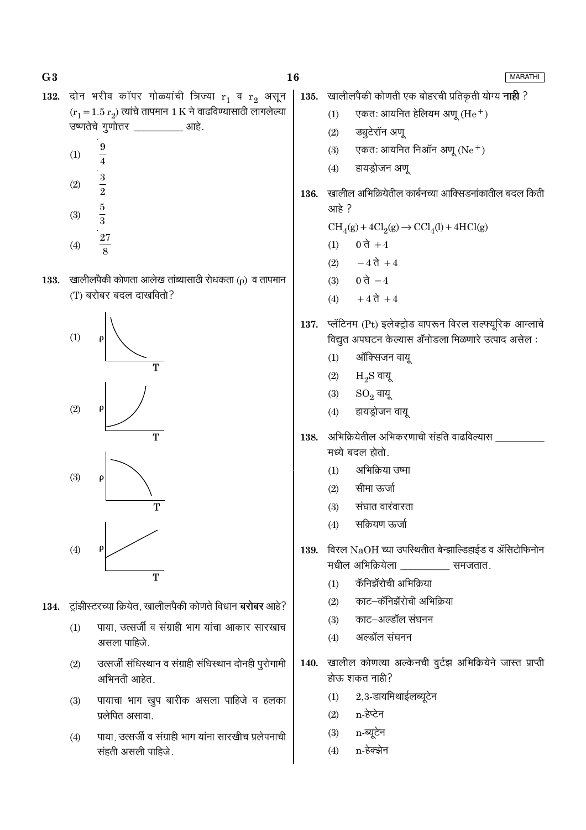$G<sub>3</sub>$ 

**MARATHI** 

- 132. दोन भरीव कॉपर गोळ्यांची त्रिज्या  $r_1$  व  $r_2$  असून  $(r_1 = 1.5 r_2)$  त्यांचे तापमान 1 K ने वाढविण्यासाठी लागलेल्या उष्णतेचे गुणोत्तर \_\_\_\_\_\_\_\_\_\_\_ आहे.
	- 9  $(1)$  $\frac{1}{4}$
	- $\frac{3}{2}$  $(2)$  $\frac{5}{3}$  $(3)$
	- **27**  $(4)$
- खालीलपैकी कोणता आलेख तांब्यासाठी रोधकता (p) व तापमान 133. (T) बरोबर बदल दाखवितो?



- 134. ट्रांझीस्टरच्या क्रियेत, खालीलपैकी कोणते विधान बरोबर आहे?
	- पाया, उत्सर्जी व संग्राही भाग यांचा आकार सारखाच  $(1)$ असला पाहिजे.
	- उत्सर्जी संधिस्थान व संग्राही संधिस्थान दोनही पुरोगामी  $(2)$ अभिनती आहेत.
	- पायाचा भाग खुप बारीक असला पाहिजे व हलका  $(3)$ प्रलेपित असावा.
	- पाया, उत्सर्जी व संग्राही भाग यांना सारखीच प्रलेपनाची  $(4)$ संहती असली पाहिजे.

खालीलपैकी कोणती एक बोहरची प्रतिकृती योग्य **नाही** ? 135. एकतः आयनित हेलियम अणु (He $^+$ )  $(1)$ 

- ड्युटेरॉन अणू  $(2)$
- एकतः आयनित निऑन अणू  $(Ne<sup>+</sup>)$  $(3)$
- हायड्रोजन अणू  $(4)$
- खालील अभिक्रियेतील कार्बनच्या आक्सिडनांकातील बदल किती 136. आहे?

 $\text{CH}_4(g) + 4\text{Cl}_2(g) \rightarrow \text{CCl}_4(l) + 4\text{HCl}(g)$ 

- 0 ते +4  $(1)$
- $-4\overrightarrow{d}+4$  $(2)$
- 0 ते  $-4$  $(3)$
- $+47 + 4$  $(4)$
- 137. प्लॅटिनम (Pt) इलेक्ट्रोड वापरून विरल सल्फ्यूरिक आम्लाचे विद्युत अपघटन केल्यास ॲनोडला मिळणारे उत्पाद असेल:
	- ऑक्सिजन वायू  $(1)$
	- $(2)$  $H_2S$  वायू
	- $(3)$  $SO<sub>2</sub>$  वायू
	- हायड्रोजन वायू  $(4)$
- अभिक्रियेतील अभिकरणाची संहति वाढविल्यास 138. मध्ये बदल होतो.
	- अभिक्रिया उष्मा  $(1)$
	- सीमा ऊर्जा  $(2)$
	- $(3)$ संघात वारंवारता
	- सक्रियण ऊर्जा  $(4)$
- विरल  $\rm NaOH$  च्या उपस्थितीत बेन्झाल्डिहाईड व ॲसिटोफिनोन 139. मधील अभिक्रियेला \_\_\_\_\_\_\_\_\_ समजतात.
	- कॅनिझॅरोची अभिक्रिया  $(1)$
	- काट–कॅनिझॅरोची अभिक्रिया  $(2)$
	- काट–अल्डॉल संघनन  $(3)$
	- अल्डॉल संघनन  $(4)$
- खालील कोणत्या अल्केनची वूर्टझ अभिक्रियेने जास्त प्राप्ती 140. होऊ शकत नाही?
	- $2,3$ -डायमिथाईलब्यूटेन  $(1)$
	- n-हेप्टेन  $(2)$
	- n-ब्यूटेन  $(3)$
	- n-हेक्झेन  $(4)$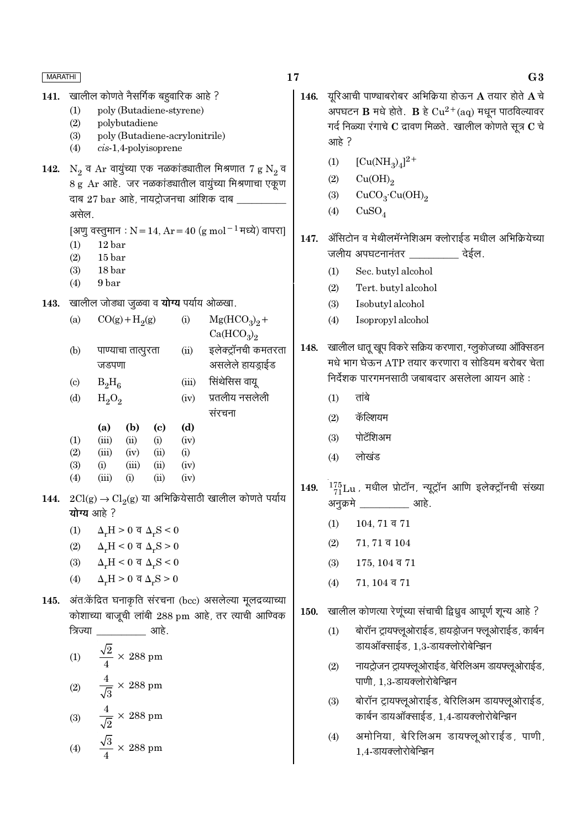17 **MARATHI** खालील कोणते नैसर्गिक बहवारिक आहे ? यरिआची पाण्चाबरोबर अभिक्रिया होऊन  ${\bf A}$  तयार होते  ${\bf A}$  चे 141. 146.  $(1)$ poly (Butadiene-styrene) अपघटन  $\bf{B}$  मधे होते.  $\bf{B}$  हे  $Cu^{2+}(aq)$  मधून पाठविल्यावर  $(2)$ polybutadiene गर्द निळ्या रंगाचे  $\bf C$  द्रावण मिळते. खालील कोणते सूत्र  $\bf C$  चे  $(3)$ poly (Butadiene-acrylonitrile) आहे?  $(4)$  $cis-1,4$ -polyisoprene  $[Cu(NH<sub>2</sub>)<sub>4</sub>]<sup>2+</sup>$  $(1)$ 142.  $N_2$  व Ar वायुंच्या एक नळकांड्यातील मिश्रणात 7 g  $N_2$  व  $(2)$  $Cu(OH)_{2}$ 8 g Ar आहे. जर नळकांड्यातील वायुंच्या मिश्रणाचा एकूण  $CuCO<sub>3</sub>·Cu(OH)<sub>2</sub>$  $(3)$ दाब 27 bar आहे, नायट्रोजनचा आंशिक दाब \_  $(4)$  $CuSO<sub>4</sub>$ असेल. [अणु वस्तुमान: N = 14, Ar = 40 (g mol<sup>-1</sup> मध्ये) वापरा] ॲसिटोन व मेथीलमॅग्नेशिअम क्लोराईड मधील अभिक्रियेच्या 147.  $(1)$  $12<sub>bar</sub>$ जलीय अपघटनानंतर \_\_\_\_\_\_\_\_\_\_\_ देईल.  $(2)$  $15<sub>bar</sub>$  $(3)$  $18<sub>bar</sub>$ Sec. butyl alcohol  $(1)$ 9 bar  $(4)$  $(2)$ Tert. butyl alcohol 143. खालील जोड्या जूळवा व योग्य पर्याय ओळखा. Isobutyl alcohol  $(3)$  $CO(g) + H<sub>2</sub>(g)$  $Mg(HCO<sub>3</sub>)<sub>9</sub> +$  $(a)$  $(i)$  $(4)$ Isopropyl alcohol  $Ca(HCO<sub>3</sub>)<sub>2</sub>$ 148. खालील धातू खूप विकरे सक्रिय करणारा, ग्लुकोजच्या ऑक्सिडन इलेक्टॉनची कमतरता  $(b)$ पाण्याचा तात्पूरता  $(ii)$ मधे भाग घेऊन ATP तयार करणारा व सोडियम बरोबर चेता असलेले हायडाईड जडपणा निर्देशक पारगमनसाठी जबाबदार असलेला आयन आहे: सिंथेसिस वायू  $B_2H_6$  $(iii)$  $(c)$ प्रतलीय नसलेली तांबे  $(1)$  $(d)$  $H_2O_2$  $(iv)$ संरचना कॅल्शियम  $(2)$  $(b)$  $(c)$  $(d)$ (a) पोटॅशिअम  $(3)$  $(1)$  $(iii)$  $(ii)$  $(i)$  $(iv)$  $(2)$  $(iii)$  $(i)$  $(iv)$  $(ii)$ लोखंड  $(4)$  $(3)$  $(i)$  $(iii)$  $(iv)$  $(ii)$  $(4)$  $(iii)$  $(i)$  $(ii)$  $(iv)$ 149.  $^{175}_{71}$ Lu, मधील प्रोटॉन, न्यूट्रॉन आणि इलेक्ट्रॉनची संख्या 144.  $2Cl(g)$  →  $Cl_2(g)$  या अभिक्रियेसाठी खालील कोणते पर्याय अनुक्रमे \_\_\_\_\_\_\_\_ आहे. योग्य आहे ?  $104, 71$  व  $71$  $(1)$  $\Delta_r H > 0$  व  $\Delta_r S < 0$  $(1)$  $(2)$  $71, 71$  व  $104$  $(2)$  $\Delta_r H < 0$  व  $\Delta_r S > 0$  $\Delta_r H < 0$  व  $\Delta_r S < 0$  $(3)$  $(3)$  $175, 104$  व  $71$  $\Delta_r H > 0$  व  $\Delta_r S > 0$  $(4)$  $(4)$  $71, 104$  व  $71$ 145. अंत:केंद्रित घनाकृति संरचना (bcc) असलेल्या मूलद्रव्याच्या खालील कोणत्या रेणूंच्या संचाची द्विध्रुव आघूर्ण शून्य आहे ? 150. कोशाच्या बाजूची लांबी 288 pm आहे, तर त्याची आण्विक <u>........</u> आहे. बोरॉन ट्रायफ्लूओराईड, हायड्रोजन फ्लूओराईड, कार्बन त्रिज्या  $(1)$ डायऑक्साईड, 1.3-डायक्लोरोबेन्झिन  $\frac{\sqrt{2}}{4} \times 288$  pm  $(1)$ नायट्रोजन ट्रायफ्लूओराईड, बेरिलिअम डायफ्लूओराईड,  $(2)$  $\frac{4}{\sqrt{3}} \times 288$  pm पाणी, 1.3-डायक्लोरोबेन्झिन  $(2)$ बोरॉन ट्रायफ्लूओराईड, बेरिलिअम डायफ्लूओराईड,  $(3)$  $\frac{4}{\sqrt{2}} \times 288$  pm कार्बन डायऑक्साईड, 1,4-डायक्लोरोबेन्झिन  $(3)$  $(4)$ अमोनिया, बेरिलिअम डायफ्लूओराईड, पाणी, (4)  $\frac{\sqrt{3}}{4} \times 288 \text{ pm}$ 1.4-डायक्लोरोबेन्झिन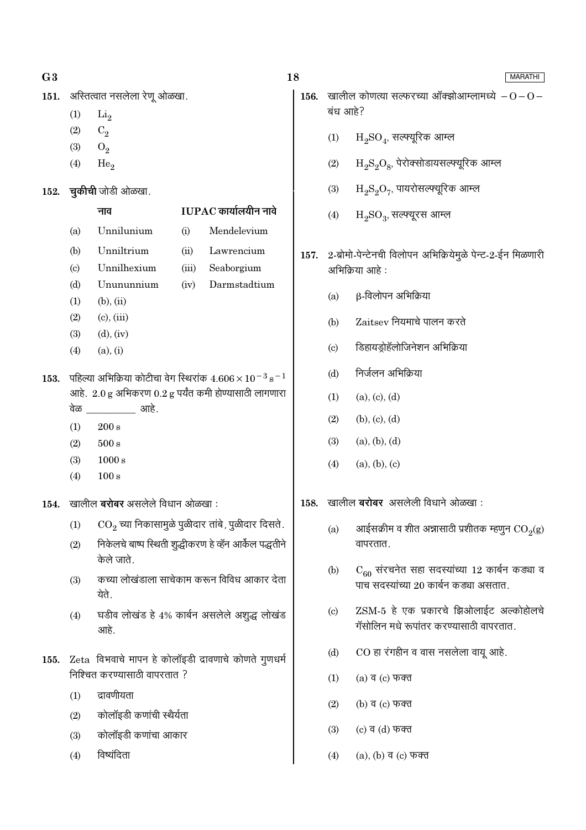- $G<sub>3</sub>$
- अस्तित्वात नसलेला रेणू ओळखा. 151.
	- $(1)$  $Li<sub>2</sub>$
	- $(2)$  $C_2$
	- $(3)$  $O<sub>2</sub>$
	- $(4)$  $He<sub>2</sub>$
- 152. चुकीची जोडी ओळखा.

नाव

# $IUPAC$  कार्यालयीन नावे

- Unnilunium  $(i)$ Mendelevium  $(a)$  $(b)$ Unniltrium  $(ii)$ Lawrencium Unnilhexium  $(iii)$  $(c)$ Seaborgium  $(d)$ Unununnium  $(iv)$ Darmstadtium  $(b)$ ,  $(ii)$  $(1)$
- $(2)$  $(c)$ ,  $(iii)$
- $(3)$  $(d)$ ,  $(iv)$
- $(4)$  $(a), (i)$
- 153. पहिल्या अभिक्रिया कोटीचा वेग स्थिरांक  $4.606 \times 10^{-3}$  s<sup>-1</sup> आहे.  $2.0 g$  अभिकरण  $0.2 g$  पर्यंत कमी होण्यासाठी लागणारा वेळ आहे.
	- $(1)$  $200 s$
	- $500 s$  $(2)$
	- $1000 s$  $(3)$
	- $(4)$  $100 s$

खालील **बरोबर** असलेले विधान ओळखा:  $154.$ 

- CO., च्या निकासामुळे पूळीदार तांबे, पूळीदार दिसते.  $(1)$
- निकेलचे बाष्प स्थिती शुद्धीकरण हे व्हॅन आर्केल पद्धतीने  $(2)$ केले जाते
- कच्या लोखंडाला साचेकाम करून विविध आकार देता  $(3)$ येते.
- घडीव लोखंड हे 4% कार्बन असलेले अशूद्ध लोखंड  $(4)$ आहे.
- 155. Zeta विभवाचे मापन हे कोलॉइडी द्रावणाचे कोणते गुणधर्म निश्चित करण्यासाठी वापरतात ?
	- $(1)$ द्रावणीयता
	- कोलॉइडी कणांची स्थैर्यता  $(2)$
	- कोलॉइडी कणांचा आकार  $(3)$
	- विष्यंदिता  $(4)$

### 18

- **156.** खालील कोणत्या सत्फरच्या ऑक्झोआम्लामध्ये  $-0-0-$ बंध आहे?
	- $H_2SO_4$ , सल्फ्यूरिक आम्ल  $(1)$
	- $(2)$  $H_2S_2O_8$ , पेरोक्सोडायसल्फ्यूरिक आम्ल
	- $H_2S_2O_7$ , पायरोसल्फ्यूरिक आम्ल  $(3)$
	- $(4)$  $H_2SO_3$ , सत्फ्यूरस आम्ल
- 157. 2-ब्रोमो-पेन्टेनची विलोपन अभिक्रियेमुळे पेन्ट-2-ईन मिळणारी अभिक्रिया आहे:
	- β-विलोपन अभिक्रिया  $(a)$
	- Zaitsey नियमाचे पालन करते  $(b)$
	- डिहायडोहॅलोजिनेशन अभिक्रिया  $(c)$
	- निर्जलन अभिक्रिया  $(b)$
	- $(1)$  $(a), (c), (d)$
	- $(2)$  $(b), (c), (d)$
	- $(3)$  $(a), (b), (d)$
	- $(4)$  $(a), (b), (c)$
- खालील बरोबर असलेली विधाने ओळखा: 158.
	- आईसक्रीम व शीत अन्नासाठी प्रशीतक म्हणुन  $\mathrm{CO}_2(\mathrm{g})$  $(a)$ वापरतात.
	- $C_{60}$  संरचनेत सहा सदस्यांच्या 12 कार्बन कड्या व  $(b)$ पाच सदस्यांच्या 20 कार्बन कड्या असतात.
	- ZSM-5 हे एक प्रकारचे झिओलाईट अल्कोहोलचे  $(c)$ गॅसोलिन मधे रूपांतर करण्यासाठी वापरतात.
	- CO हा रंगहीन व वास नसलेला वायू आहे.  $(d)$
	- $(1)$  $(a)$  व  $(c)$  फक्त
	- $(2)$ (b) व (c) फक्त
	- $(3)$ (c) व (d) फक्त
	- (a), (b) व (c) फक्त  $(4)$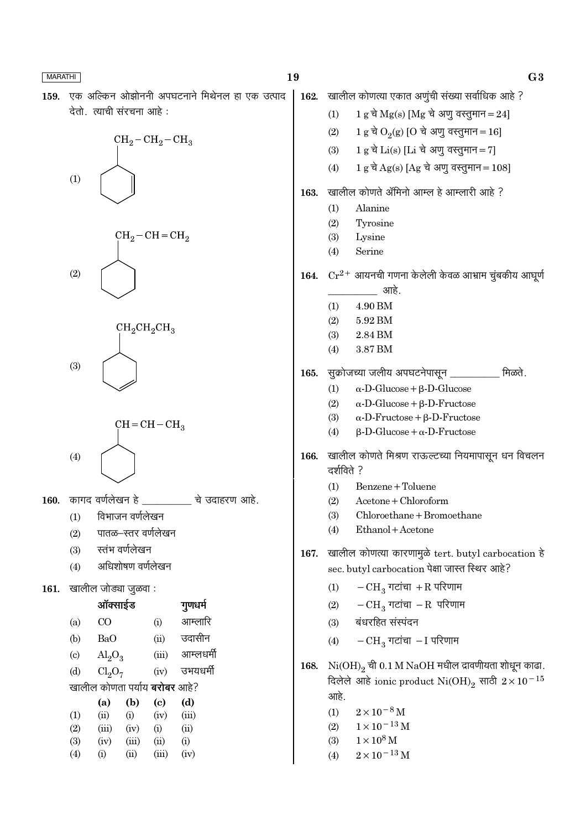|--|

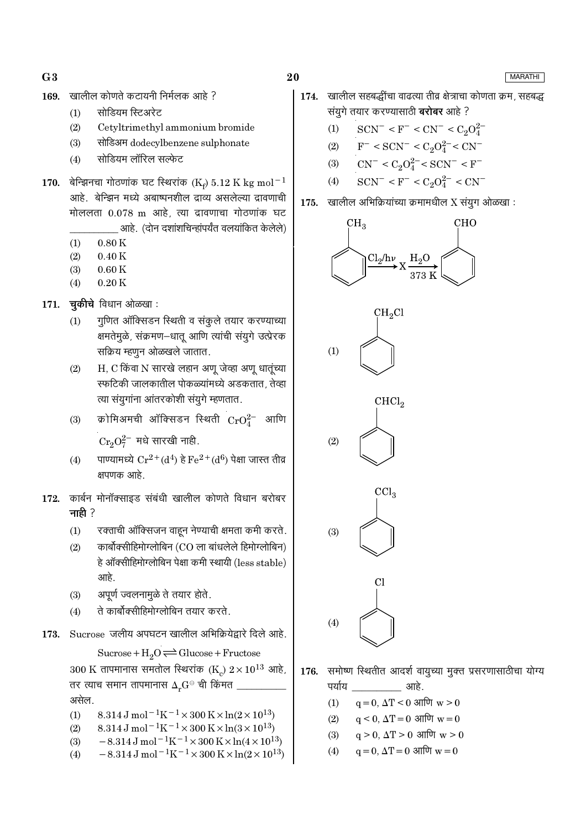$G3$ 

- खालील कोणते कटायनी निर्मलक आहे ? 169.
	- सोडियम स्टिअरेट  $(1)$
	- Cetyltrimethyl ammonium bromide  $(2)$
	- सोडिअम dodecylbenzene sulphonate  $(3)$
	- सोडियम लॉरिल सल्फेट  $(4)$
- 170. बेन्झिनचा गोठणांक घट स्थिरांक (Ke) 5.12 K kg mol<sup>-1</sup> आहे. बेन्झिन मध्ये अबाष्पनशील द्राव्य असलेल्या द्रावणाची मोललता 0.078 m आहे त्या दावणाचा गोठणांक घट आहे. (दोन दशांशचिन्हांपर्यंत वलयांकित केलेले)
	- $(1)$  $0.80K$
	- $(2)$  $0.40K$
	- $(3)$  $0.60K$
	- $0.20K$  $(4)$
- $171.$  चुकीचे विधान ओळखा:
	- गुणित ऑक्सिडन स्थिती व संकूले तयार करण्याच्या  $(1)$ क्षमतेमुळे, संक्रमण-धातू आणि त्यांची संयुगे उत्प्रेरक सक्रिय म्हणून ओळखले जातात.
	- H, C किंवा N सारखे लहान अणू जेव्हा अणू धातूंच्या  $(2)$ स्फटिकी जालकातील पोकळ्यांमध्ये अडकतात. तेव्हा त्या संयुगांना आंतरकोशी संयुगे म्हणतात.
	- क्रोमिअमची ऑक्सिडन स्थिती  $CrO_4^{2-}$  आणि  $(3)$  $Cr_2O_7^{2-}$  मधे सारखी नाही.
	- पाण्यामध्ये  $Cr^{2+}(d^4)$  हे  $Fe^{2+}(d^6)$  पेक्षा जास्त तीव्र  $(4)$ क्षपणक आहे.
- 172. कार्बन मोनॉक्साइड संबंधी खालील कोणते विधान बरोबर नाही $?$ 
	- रक्ताची ऑक्सिजन वाहून नेण्याची क्षमता कमी करते.  $(1)$
	- कार्बोक्सीहिमोग्लोबिन (CO ला बांधलेले हिमोग्लोबिन)  $(2)$ हे ऑक्सीहिमोग्लोबिन पेक्षा कमी स्थायी (less stable) आहे.
	- अपूर्ण ज्वलनामुळे ते तयार होते.  $(3)$
	- ते कार्बोक्सीहिमोग्लोबिन तयार करते.  $(4)$
- Sucrose जलीय अपघटन खालील अभिक्रियेद्वारे दिले आहे. 173.

Sucrose +  $H_2O \rightleftharpoons Glucose + Fructose$ 300 K तापमानास समतोल स्थिरांक (K)  $2 \times 10^{13}$  आहे, तर त्याच समान तापमानास  $\Delta_{\star}{\rm G}^{\rm \odot}$  ची किंमत  $\pm$ असेल.

- 8.314 J mol<sup>-1</sup>K<sup>-1</sup> × 300 K × ln(2 × 10<sup>13</sup>)  $(1)$
- 8.314 J mol<sup>-1</sup>K<sup>-1</sup> × 300 K × ln(3 × 10<sup>13</sup>)  $(2)$
- $-8.314 \,\mathrm{J}$  mol<sup>-1</sup>K<sup>-1</sup>×300 K×ln(4×10<sup>13</sup>)  $(3)$  $-8.314 \,\mathrm{J}$  mol<sup>-1</sup>K<sup>-1</sup>×300 K×ln(2×10<sup>13</sup>)  $(4)$
- **MARATHI**
- 174. खालील सहबद्धींचा वाढत्या तीव्र क्षेत्राचा कोणता क्रम, सहबद्ध संयुगे तयार करण्यासाठी **बरोबर** आहे ?
	- $SCN^- < F^- < CN^- < C_2O_4^{2-}$  $(1)$
	- $F^-$  < SCN<sup>-</sup> < C<sub>2</sub>O<sub>4</sub><sup>2-</sup> < CN<sup>-</sup>  $(2)$
	- $CN^{-} < C_2O_4^{2-} < SCN^{-} < F^{-}$  $(3)$
	- $SCN^- < F^- < C_2O_4^{2-} < CN^ (4)$
- खालील अभिक्रियांच्या क्रमामधील X संयुग ओळखा : 175.



- समोष्ण स्थितीत आदर्श वायूच्या मुक्त प्रसरणासाठीचा योग्य 176. पर्याय <u>\_\_\_\_\_\_\_\_\_\_\_\_</u> आहे.
	- $q = 0$ ,  $\Delta T < 0$  आणि  $w > 0$  $(1)$
	- $a \le 0$ ,  $\Delta T = 0$  आणि  $w = 0$  $(2)$
	- $q > 0$ ,  $\Delta T > 0$  आणि  $w > 0$  $(3)$
	- $q = 0$ ,  $\Delta T = 0$  आणि  $w = 0$  $(4)$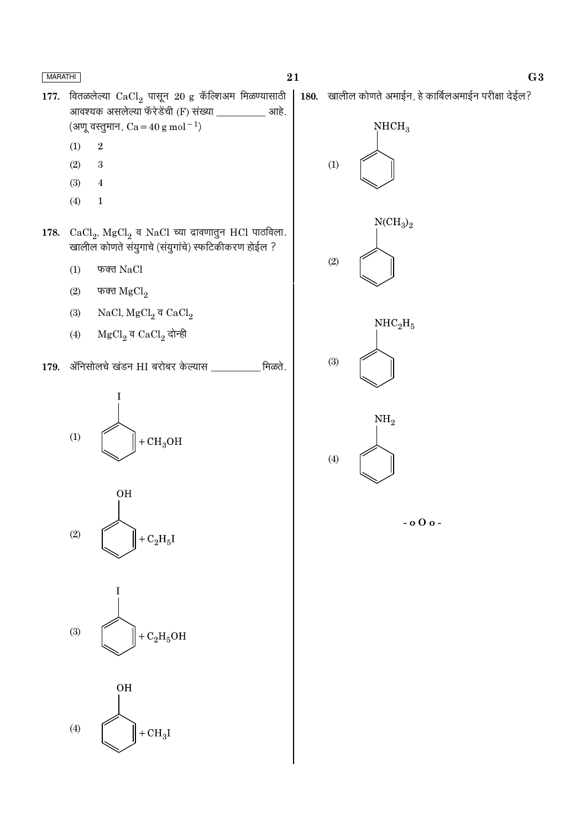177. वितळलेल्या  $CaCl<sub>2</sub>$  पासून 20 g कॅल्शिअम मिळण्यासाठी 180. खालील कोणते अमाईन, हे कार्बिलअमाईन परीक्षा देईल? आवश्यक असलेल्या फॅरेडेंची (F) संख्या \_ आहे. (अणू वस्तुमान,  $Ca = 40 g mol^{-1}$ )  $NHCH<sub>3</sub>$  $\overline{2}$  $(1)$  $(2)$ 3  $(1)$  $(3)$  $\overline{4}$  $(4)$  $\mathbf{1}$  $NCH<sub>3</sub>$ <sub>2</sub> 178. CaCl<sub>2</sub>, MgCl<sub>2</sub> व NaCl च्या द्रावणातुन HCl पाठविला. खालील कोणते संयुगाचे (संयुगांचे) स्फटिकीकरण होईल ?  $(2)$  $(1)$ फक्त NaCl फक्त  $MgCl<sub>2</sub>$  $(2)$ NaCl,  $MgCl_2$  व CaCl<sub>2</sub>  $(3)$  $NHC<sub>2</sub>H<sub>5</sub>$  $MgCl<sub>2</sub>$ व Ca $Cl<sub>2</sub>$  दोन्ही  $(4)$  $(3)$ 179. ॲनिसोलचे खंडन HI बरोबर केल्यास मिळते. T  $\mathrm{NH}_2$  $(1)$  $+CH<sub>3</sub>OH$  $(4)$ **OH**  $-000 (2)$  $+ C<sub>2</sub>H<sub>5</sub>I$  $(3)$  $+ C<sub>2</sub>H<sub>5</sub>OH$ **OH**  $(4)$  $+CH<sub>3</sub>I$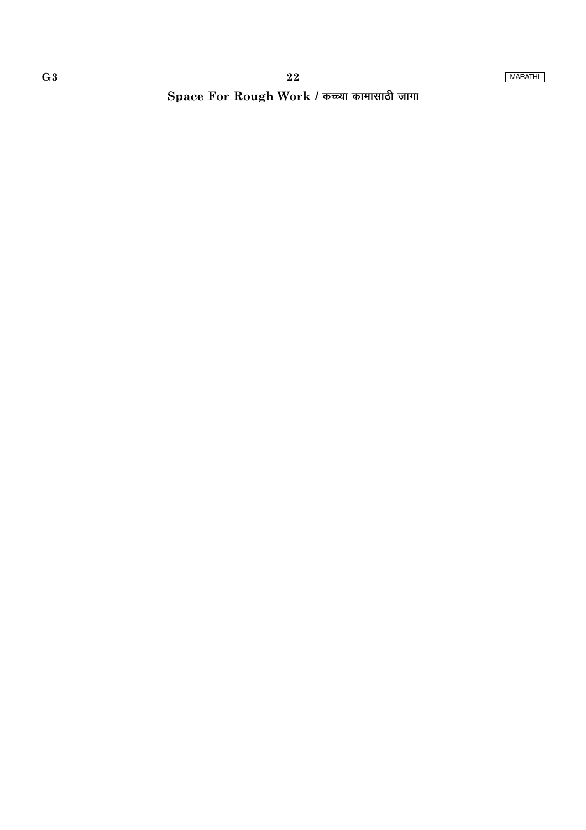Space For Rough Work / कच्च्या कामासाठी जागा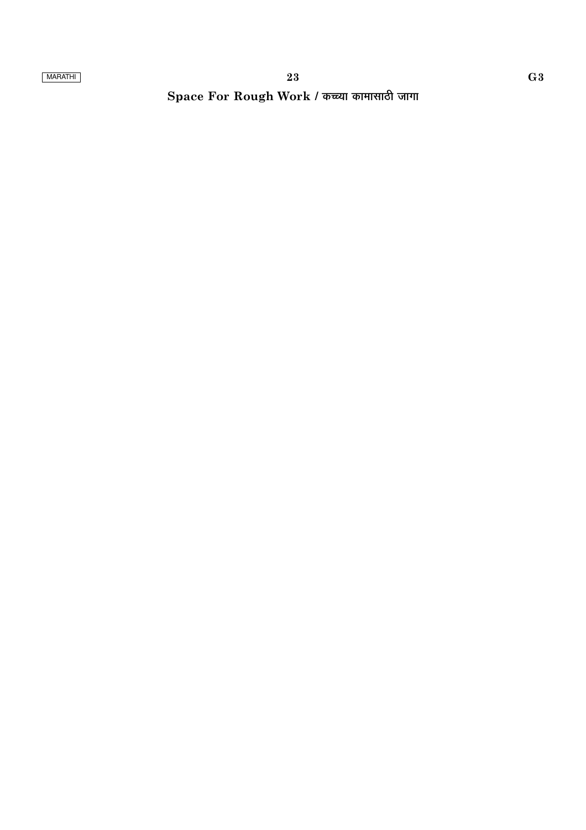# Space For Rough Work / कच्च्या कामासाठी जागा